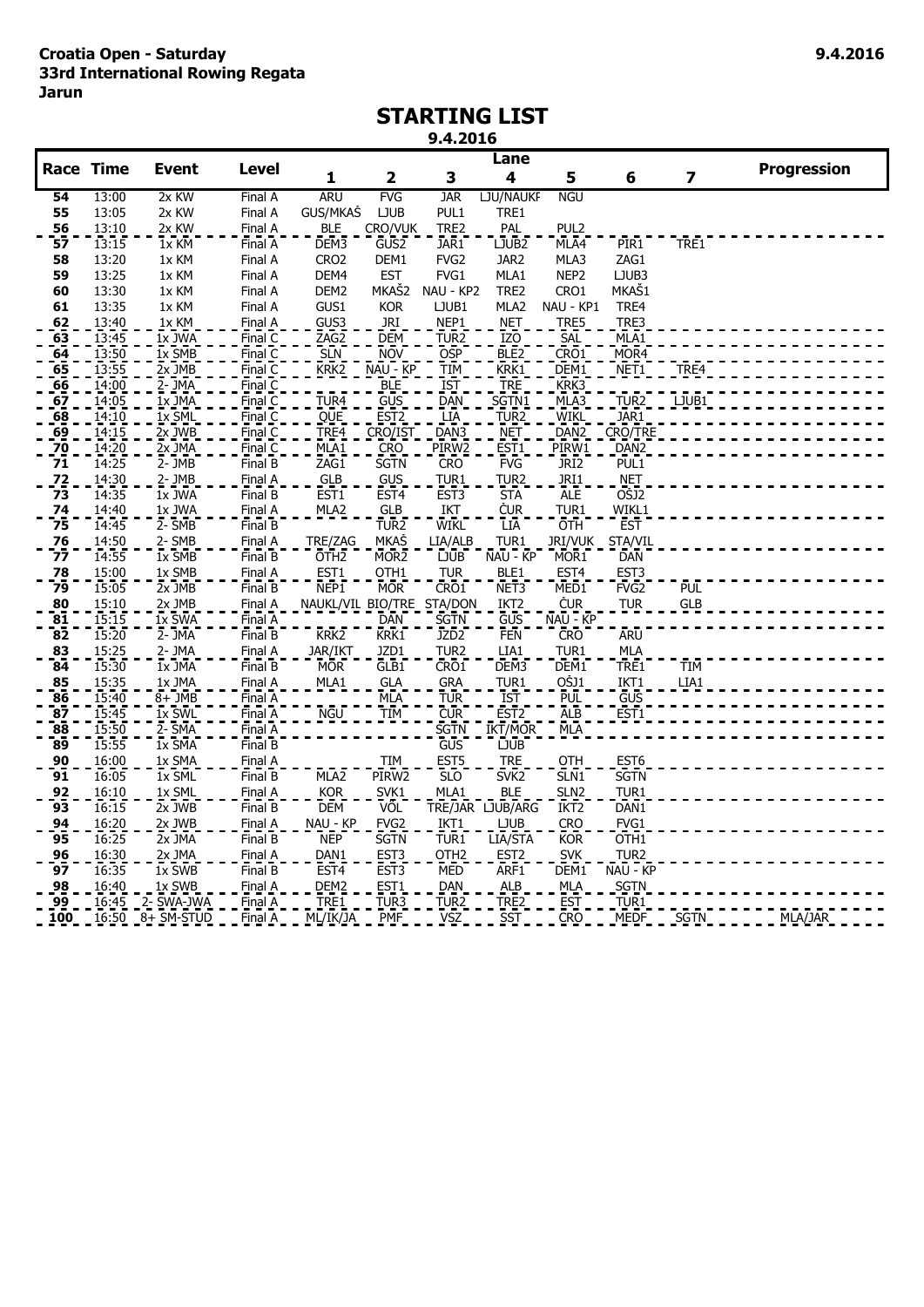### **STARTING LIST**

#### **9.4.2016**

|                                                       |                                  |                                |                      |                           |                    |                          | Lane                                        |                                 |                  |                         |                    |
|-------------------------------------------------------|----------------------------------|--------------------------------|----------------------|---------------------------|--------------------|--------------------------|---------------------------------------------|---------------------------------|------------------|-------------------------|--------------------|
| <b>Race Time</b>                                      |                                  | <b>Event</b>                   | <b>Level</b>         | 1                         | $\mathbf{2}$       | 3                        | 4                                           | 5                               | 6                | $\overline{\mathbf{z}}$ | <b>Progression</b> |
| 54                                                    | 13:00                            | 2x KW                          | Final A              | <b>ARU</b>                | <b>FVG</b>         | <b>JAR</b>               | LJU/NAUKF                                   | <b>NGU</b>                      |                  |                         |                    |
| 55                                                    | 13:05                            | 2x KW                          | Final A              | GUS/MKAŠ                  | <b>LJUB</b>        | PUL1                     | TRE1                                        |                                 |                  |                         |                    |
| 56                                                    | 13:10                            | 2x KW                          | Final A              | <b>BLE</b>                | CRO/VUK            | TRE2                     | PAL                                         | PUL2                            |                  |                         |                    |
| 57                                                    | 13:15                            | $\overline{1}x\overline{K}M$   | Final A              | DEM3                      | GUS <sub>2</sub>   | JAR1                     | LJUB <sub>2</sub>                           | MLA4                            | PIR <sub>1</sub> | TRE1                    |                    |
| 58                                                    | 13:20                            | 1x KM                          | Final A              | CRO <sub>2</sub>          | DEM1               | FVG <sub>2</sub>         | JAR <sub>2</sub>                            | MLA3                            | ZAG1             |                         |                    |
| 59                                                    | 13:25                            | 1x KM                          | Final A              | DEM4                      | <b>EST</b>         | FVG1                     | MLA1                                        | NEP <sub>2</sub>                | LJUB3            |                         |                    |
| 60                                                    | 13:30                            | 1x KM                          | Final A              | DEM <sub>2</sub>          | MKAŠ2              | NAU - KP2                | TRE2                                        | CRO1                            | MKAŠ1            |                         |                    |
| 61                                                    | 13:35                            | 1x KM                          | Final A              | GUS1                      | <b>KOR</b>         | LJUB1                    | MLA2                                        | NAU - KP1                       | TRE4             |                         |                    |
| 62                                                    | 13:40                            | 1x KM                          | Final A              | GUS <sub>3</sub>          | JRI                | NEP1                     | NET                                         | TRE5                            | TRE3             |                         |                    |
| $\frac{63}{64}$<br>$\frac{64}{65}$<br>$\frac{65}{66}$ | 13:45<br>13:50<br>13:55<br>14:00 | $1x$ JWA                       | Final C              | ZAG <sub>2</sub>          | <b>DEM</b>         | TUR <sub>2</sub>         | IZ <sub>O</sub>                             | <u>SĀL</u>                      | MLA1             |                         |                    |
|                                                       |                                  | 1x SMB                         | Final<br>Č           | <b>SLN</b>                | <b>NOV</b>         | <b>OSP</b>               | BLE <sub>2</sub>                            | CRO1                            | MOR <sub>4</sub> |                         |                    |
|                                                       |                                  | $2x$ JMB                       | Final<br>C           | KRK <sub>2</sub>          | NAU - KP           | <b>TIM</b>               | KRK1                                        | DEM1                            | NET1             | TRE4                    |                    |
|                                                       |                                  | $2 -$ JMA                      | Final                |                           | BLE                | <b>IST</b>               | <b>TRE</b>                                  | KRK3                            |                  |                         |                    |
| $\overline{6}$                                        | 14:05                            | $1x$ JMA                       | Final C              | TUR <sub>4</sub>          | GUS                | DAN                      | SGTN1                                       | MLA3                            | TUR <sub>2</sub> | LJUB1                   |                    |
| 68                                                    | 14:10                            | $1x$ $\overline{SML}$          | FinalC               | QUE                       | EST <sub>2</sub>   | LIA                      | TUR <sub>2</sub>                            | wikl                            | JAR <sub>1</sub> |                         |                    |
| $\frac{69}{70}$                                       | 14:15                            | $2x$ JWB                       | Final $\overline{C}$ | TRE <sub>4</sub>          | CRO/IST            | DAN <sub>3</sub>         | <b>NET</b>                                  | DAN <sub>2</sub>                | CRO/TRE          |                         |                    |
|                                                       | 14:20                            | $2x$ JMA                       | Final $\overline{C}$ | MLA <sub>1</sub>          | <b>CRO</b>         | PIRW2                    | EST <sub>1</sub>                            | PIR <sub>W1</sub>               | DAN <sub>2</sub> |                         |                    |
| 71                                                    | 14:25                            | $2 - \overline{J}MB$           | FinalB               | ZAG1                      | SGTN               | <b>CRO</b>               | <b>FVG</b>                                  | JR <sub>I</sub> 2               | PUL <sub>1</sub> |                         |                    |
| $\frac{72}{73}$                                       | 14:30                            | $2 - JMB$                      | Final A              | GLB                       | GUS                | TUR <sub>1</sub>         | TUR <sub>2</sub>                            | <b>JRI1</b>                     | <b>NET</b>       |                         |                    |
|                                                       | 14:35                            | $1x$ JWA                       | Final B              | EST1                      | EST <sub>4</sub>   | EST <sub>3</sub>         | <b>STA</b>                                  | <b>ALE</b>                      | OŠJ2             |                         |                    |
| $\frac{74}{75}$                                       | 14:40                            | 1x JWA                         | Final A              | MLA <sub>2</sub>          | GLB                | IKT                      | <b>ČUR</b>                                  | TUR1                            | WIKL1            |                         |                    |
|                                                       | 14:45                            | $2 - 5MB$                      | FinalB               |                           | TUR2               | <b>WIKL</b>              | LĪA                                         | OTH                             | <b>EST</b>       |                         |                    |
| $\frac{76}{77}$                                       | 14:50                            | 2-SMB                          | Final A              | TRE/ZAG                   | <b>MKAŠ</b>        | LIA/ALB                  | TUR1                                        | JRI/VUK                         | STA/VIL          |                         |                    |
|                                                       | 14:55                            | $1x$ SMB                       | Final B              | OTH <sub>2</sub>          | MOR <sub>2</sub>   | <b>LJUB</b>              | NAU - KP                                    | MOR <sub>1</sub>                | <b>DAN</b>       |                         |                    |
| $\frac{78}{79}$                                       | 15:00                            | 1x SMB                         | Final A              | EST1                      | OTH1               | <b>TUR</b>               | BLE1                                        | EST <sub>4</sub>                | EST <sub>3</sub> |                         |                    |
|                                                       | 15:05                            | 2x JMB                         | FinalB               | NEP1                      | <b>MOR</b>         | CRO <sub>1</sub>         | NET <sub>3</sub>                            | MED <sub>1</sub>                | FVG <sub>2</sub> | <b>PUL</b>              |                    |
| $\begin{array}{c} 80 \\ 81 \end{array}$               | 15:10                            | $2x$ JMB                       | Final A              | NAUKL/VIL_BIO/TRE_STA/DON |                    |                          | IKT <sub>2</sub>                            | ČUR                             | <b>TUR</b>       | GLB                     |                    |
|                                                       | 15:15                            | $\overline{1}x$ SWA            | Final A              |                           | <b>DAN</b><br>KRK1 | <b>SGTN</b>              | <b>GUS</b>                                  | NAU - KP                        |                  |                         |                    |
| 82                                                    | 15:20                            | 2- JMA                         | Final B              | KRK <sub>2</sub>          |                    | JZD <sub>2</sub>         | <b>FEN</b>                                  | <b>CRO</b>                      | <b>ARU</b>       |                         |                    |
| $\frac{83}{84}$                                       | 15:25<br>15:30                   | 2- JMA<br>$1x$ JMA             | Final A              | JAR/IKT<br><b>MOR</b>     | JZD1<br>GLB1       | TUR <sub>2</sub><br>CRO1 | LIA1<br>DEM3                                | TUR1<br>DEM <sub>1</sub>        | MLA              | TIM                     |                    |
|                                                       |                                  |                                | Final B              |                           |                    |                          |                                             |                                 | TRE1             |                         |                    |
| $\frac{85}{86}$                                       | 15:35<br>15:40                   | 1x JMA<br>$8 + \overline{JMB}$ | Final A<br>Final A   | MLA <sub>1</sub>          | <b>GLA</b><br>MLA  | <b>GRA</b><br><b>TUR</b> | TUR <sub>1</sub><br>$\overline{\text{IST}}$ | <u>OŠJ1</u><br>PUL <sup>-</sup> | IKT1<br>GUS      | LIA1                    |                    |
| $\overline{\bf 8}$                                    | 15:45                            |                                | Final A              |                           | TIM                |                          | EST <sub>2</sub>                            | $\overline{A}$ LB               |                  |                         |                    |
| 88                                                    | 15:50                            | $1x$ SWL<br>2- SMA             | Final A              | NGU                       |                    | CUR<br><b>SGTN</b>       | IKT/MOR                                     | MLA                             | EST <sub>1</sub> |                         |                    |
| 89                                                    | 15:55                            | 1x SMA                         | FinalB               |                           |                    | GUS                      | <b>LJUB</b>                                 |                                 |                  |                         |                    |
|                                                       | 16:00                            | 1x SMA                         | Final A              |                           | <b>TIM</b>         | EST <sub>5</sub>         | <b>TRE</b>                                  | OTH                             | EST6             |                         |                    |
| $\frac{90}{91}$                                       | 16:05                            | $1x$ SML                       | Final B              | MLA <sub>2</sub>          | PIRW <sub>2</sub>  | <b>SLO</b>               | SVK <sub>2</sub>                            | SLN <sub>1</sub>                | <b>SGTN</b>      |                         |                    |
|                                                       | 16:10                            | 1x SML                         | Final A              | <b>KOR</b>                | SVK <sub>1</sub>   | MLA1                     | <b>BLE</b>                                  | SLN <sub>2</sub>                | TUR1             |                         |                    |
| $\frac{92}{93}$                                       | 16:15                            | $2x$ JWB                       | Final B              | <b>DEM</b>                | VOL                |                          | TRE/JAR LJUB/ARG                            | IKT <sub>2</sub>                | DAN1             |                         |                    |
|                                                       | 16:20                            | 2x JWB                         | Final A              | $NAU - KP$                | FVG <sub>2</sub>   | IKT1                     | <b>LJUB</b>                                 | CRO                             | FVG1             |                         |                    |
| $\frac{94}{95}$                                       | 16:25                            | $2x$ JMA                       | Final B              | <b>NEP</b>                | SGTN               | TUR <sub>1</sub>         | LIA/STA                                     | <b>KOR</b>                      | OTH <sub>1</sub> |                         |                    |
|                                                       | 16:30                            | 2x JMA                         | Final A              | DAN1                      | EST <sub>3</sub>   | OTH <sub>2</sub>         | EST <sub>2</sub>                            | <b>SVK</b>                      | TUR <sub>2</sub> |                         |                    |
| $\frac{96}{97}$                                       | 16:35                            | $1x$ SWB                       | FinalB               | EST <sub>4</sub>          | EST <sub>3</sub>   | <b>MED</b>               | ARF1                                        | DEM <sub>1</sub>                | NAU - KP         |                         |                    |
| <u>98</u>                                             |                                  | 1x SWB                         | Final A              |                           | EST <sub>1</sub>   | <b>DAN</b>               | ALB                                         |                                 | <b>SGTN</b>      |                         |                    |
| 99                                                    | 16:40<br>16:45                   | 2- SWA-JWA                     | Final A              | DEM2<br>TRE1              | TUR3               | TUR <sub>2</sub>         | TRE2                                        | MLA<br>EST                      | TUR1             |                         |                    |
| 100                                                   | $-16:50$                         | $8 + SM-STUD$                  | Final A              | ML/IK/JA                  | <b>PMF</b>         | VSZ                      | SST.                                        | CRO                             | <b>MEDF</b>      | SGTN                    | MLA/JAR            |
|                                                       |                                  |                                |                      |                           |                    |                          |                                             |                                 |                  |                         |                    |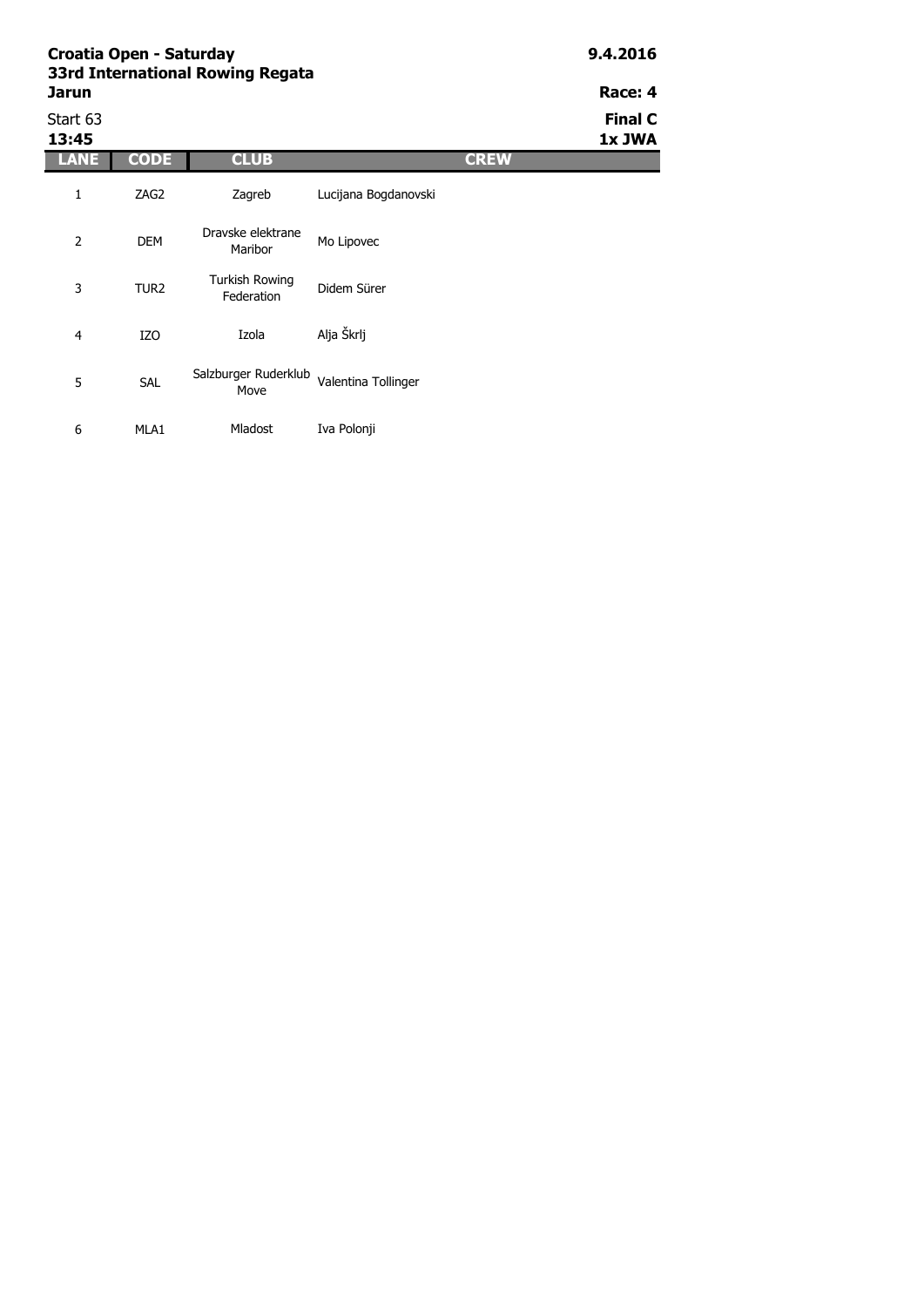| <b>Jarun</b>      | Croatia Open - Saturday<br>33rd International Rowing Regata |                                     | 9.4.2016<br>Race: 4  |             |                          |
|-------------------|-------------------------------------------------------------|-------------------------------------|----------------------|-------------|--------------------------|
| Start 63<br>13:45 |                                                             |                                     |                      |             | <b>Final C</b><br>1x JWA |
| LANE              | <b>CODE</b>                                                 | <b>CLUB</b>                         |                      | <b>CREW</b> |                          |
| 1                 | ZAG2                                                        | Zagreb                              | Lucijana Bogdanovski |             |                          |
| 2                 | <b>DEM</b>                                                  | Dravske elektrane<br>Maribor        | Mo Lipovec           |             |                          |
| 3                 | TUR <sub>2</sub>                                            | <b>Turkish Rowing</b><br>Federation | Didem Sürer          |             |                          |

|   | 170        | Izola                                            | Alja Škrlj |
|---|------------|--------------------------------------------------|------------|
| 5 | <b>SAL</b> | Salzburger Ruderklub Valentina Tollinger<br>Move |            |

Mladost Iva Polonji

6 MLA1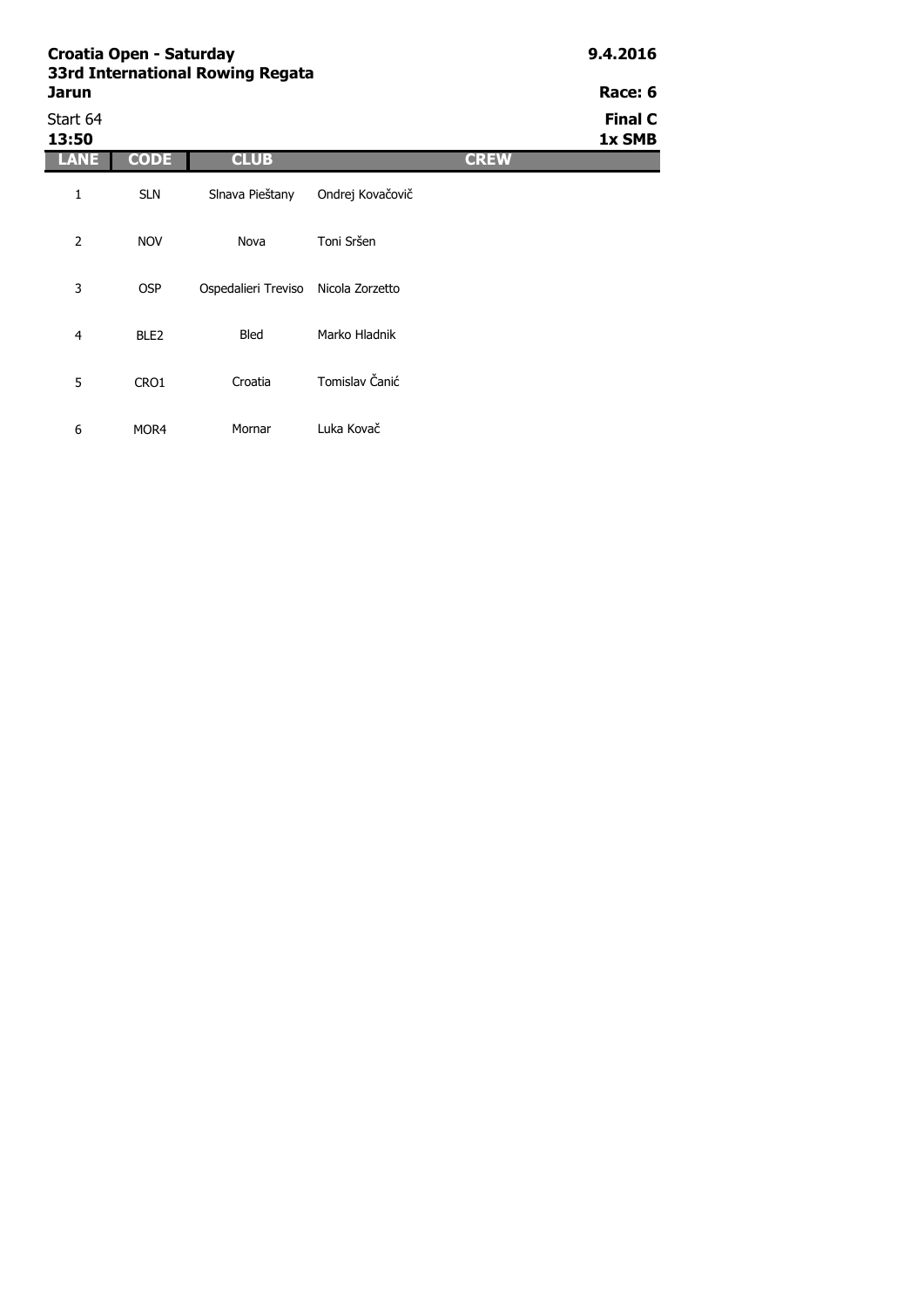|                   | Croatia Open - Saturday<br>33rd International Rowing Regata |                                     |                  |             |                          |  |  |  |
|-------------------|-------------------------------------------------------------|-------------------------------------|------------------|-------------|--------------------------|--|--|--|
| Jarun             |                                                             |                                     |                  |             |                          |  |  |  |
| Start 64<br>13:50 |                                                             |                                     |                  |             | <b>Final C</b><br>1x SMB |  |  |  |
| LANE              | <b>CODE</b>                                                 | <b>CLUB</b>                         |                  | <b>CREW</b> |                          |  |  |  |
| 1                 | <b>SLN</b>                                                  | Slnava Pieštany                     | Ondrej Kovačovič |             |                          |  |  |  |
| $\overline{2}$    | <b>NOV</b>                                                  | Nova                                | Toni Sršen       |             |                          |  |  |  |
| 3                 | <b>OSP</b>                                                  | Ospedalieri Treviso Nicola Zorzetto |                  |             |                          |  |  |  |
| 4                 | BLE <sub>2</sub>                                            | <b>Bled</b>                         | Marko Hladnik    |             |                          |  |  |  |
| 5                 | CRO1                                                        | Croatia                             | Tomislav Čanić   |             |                          |  |  |  |

Mornar Luka Kovač

6 MOR4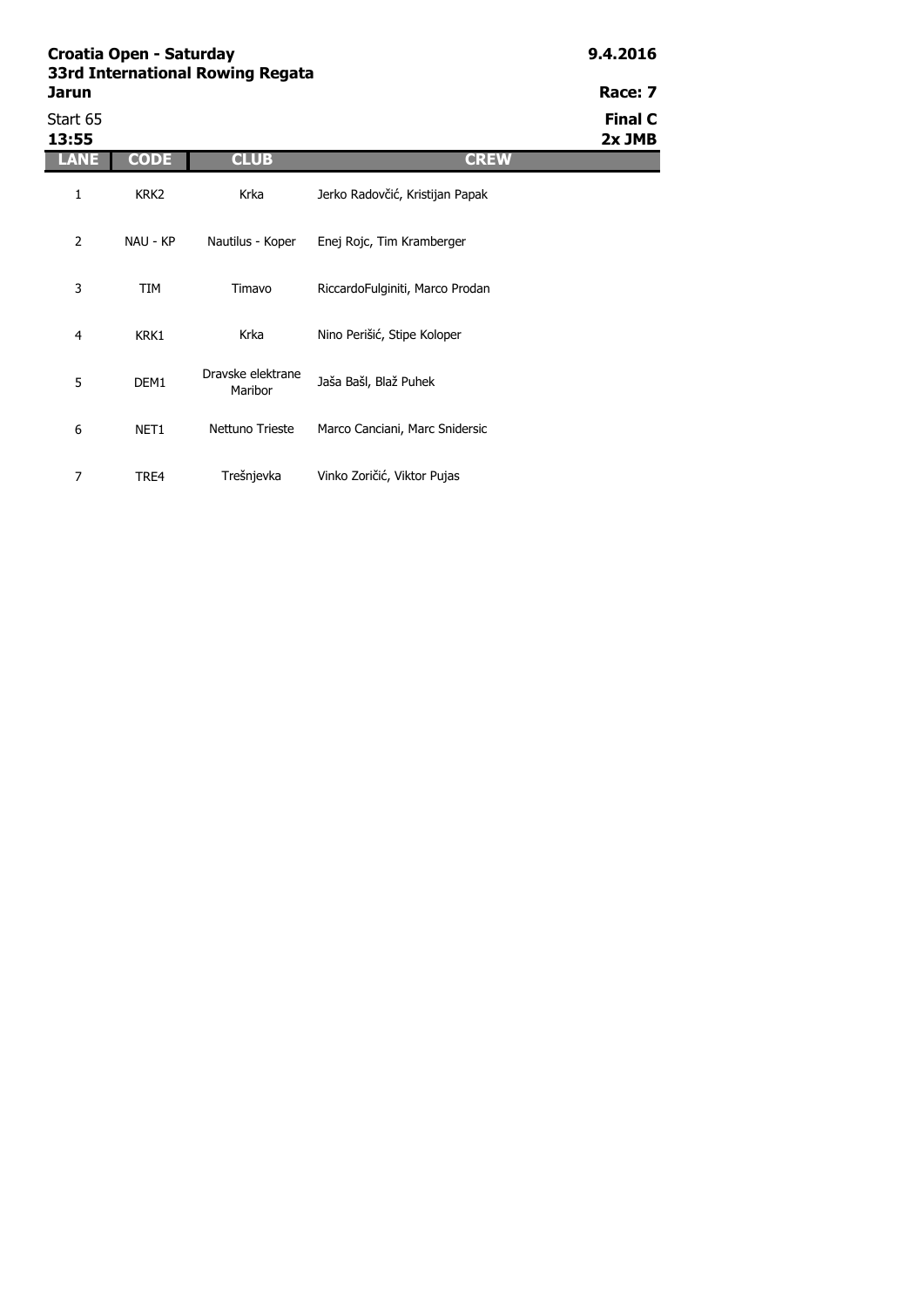| <b>Jarun</b>      |                  |                              |                                 | Race: 7                  |
|-------------------|------------------|------------------------------|---------------------------------|--------------------------|
| Start 65<br>13:55 |                  |                              |                                 | <b>Final C</b><br>2x JMB |
| LANE              | <b>CODE</b>      | <b>CLUB</b>                  | <b>CREW</b>                     |                          |
| 1                 | KRK <sub>2</sub> | Krka                         | Jerko Radovčić, Kristijan Papak |                          |
| $\overline{2}$    | NAU - KP         | Nautilus - Koper             | Enej Rojc, Tim Kramberger       |                          |
| 3                 | TIM              | Timavo                       | RiccardoFulginiti, Marco Prodan |                          |
| 4                 | KRK1             | Krka                         | Nino Perišić, Stipe Koloper     |                          |
| 5                 | DEM1             | Dravske elektrane<br>Maribor | Jaša Bašl, Blaž Puhek           |                          |
| 6                 | NET1             | Nettuno Trieste              | Marco Canciani, Marc Snidersic  |                          |
| 7                 | TRE4             | Trešnjevka                   | Vinko Zoričić, Viktor Pujas     |                          |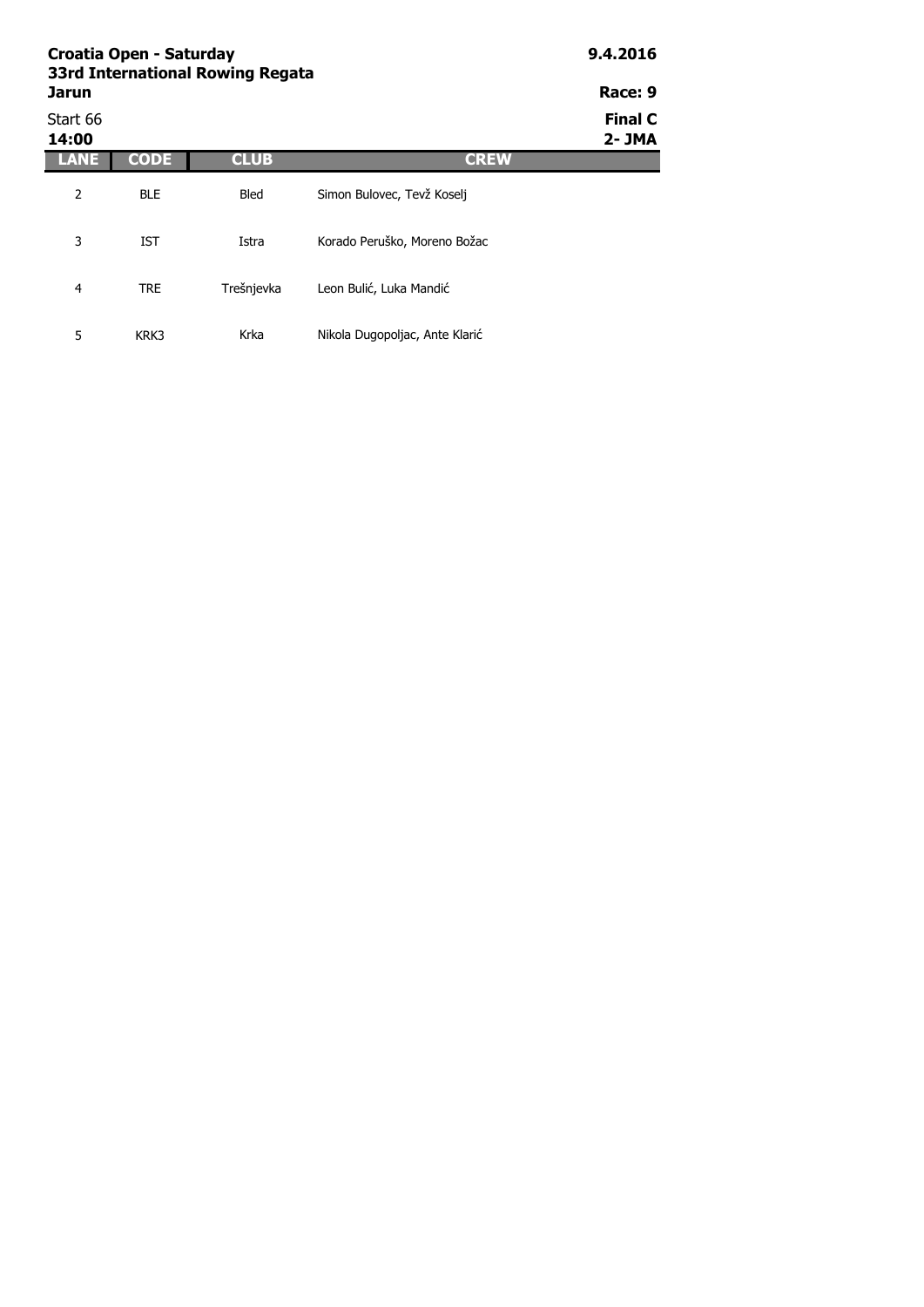|                   | Croatia Open - Saturday<br>33rd International Rowing Regata |             |                                |                          |  |  |  |
|-------------------|-------------------------------------------------------------|-------------|--------------------------------|--------------------------|--|--|--|
| <b>Jarun</b>      |                                                             |             |                                | Race: 9                  |  |  |  |
| Start 66<br>14:00 |                                                             |             |                                | <b>Final C</b><br>2- JMA |  |  |  |
| LANE              | <b>CODE</b>                                                 | <b>CLUB</b> | <b>CREW</b>                    |                          |  |  |  |
| 2                 | <b>BLE</b>                                                  | Bled        | Simon Bulovec, Tevž Koselj     |                          |  |  |  |
| 3                 | <b>IST</b>                                                  | Istra       | Korado Peruško, Moreno Božac   |                          |  |  |  |
| 4                 | <b>TRE</b>                                                  | Trešnjevka  | Leon Bulić, Luka Mandić        |                          |  |  |  |
| 5                 | KRK3                                                        | Krka        | Nikola Dugopoljac, Ante Klarić |                          |  |  |  |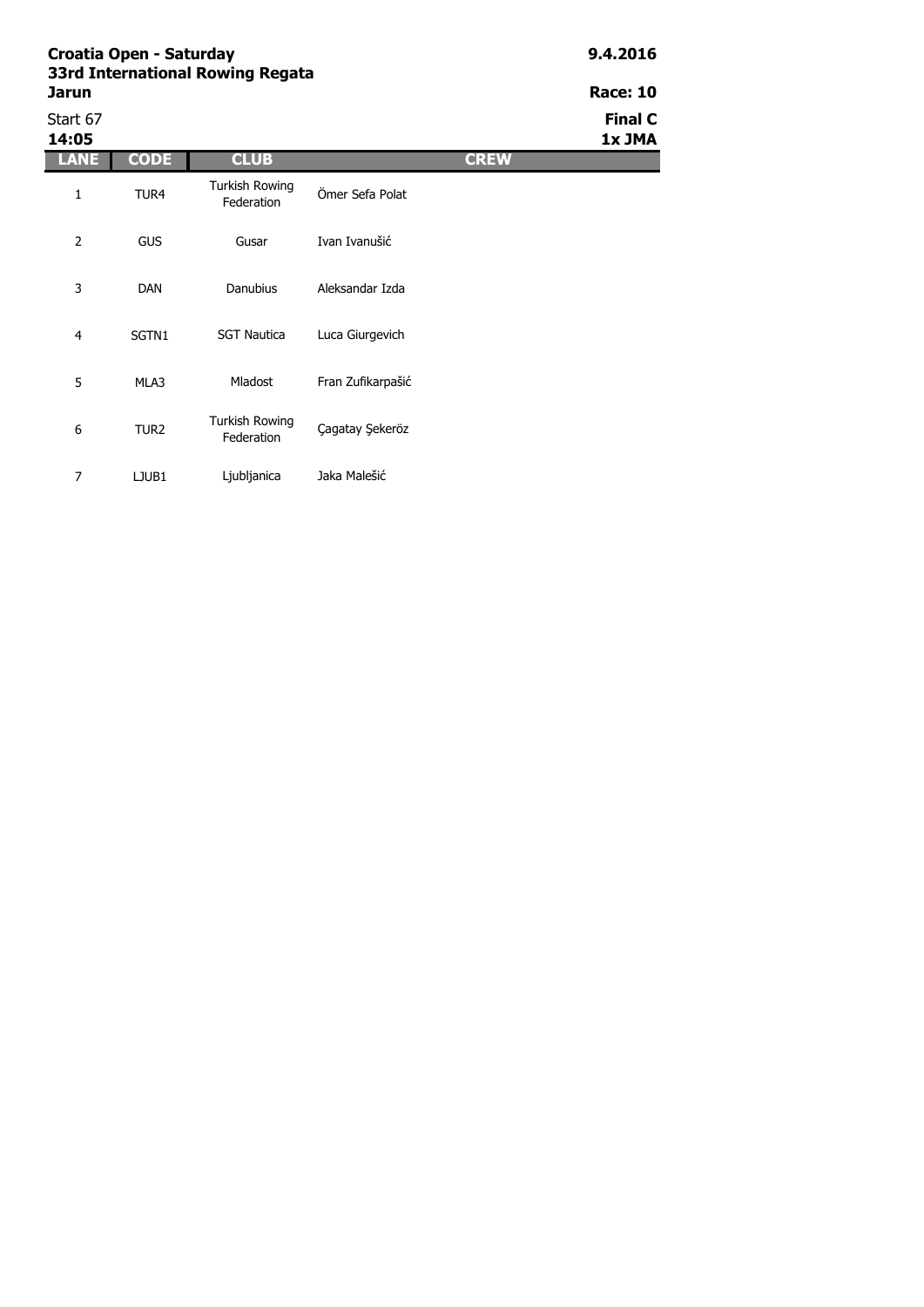7 LJUB1 Ljubljanica Jaka Malešić

| Jarun             | 33rd International Rowing Regata |                                     |                   |             |                          |  |  |  |
|-------------------|----------------------------------|-------------------------------------|-------------------|-------------|--------------------------|--|--|--|
| Start 67<br>14:05 |                                  |                                     |                   |             | <b>Final C</b><br>1x JMA |  |  |  |
| <b>LANE</b>       | <b>CODE</b>                      | <b>CLUB</b>                         |                   | <b>CREW</b> |                          |  |  |  |
| 1                 | TUR4                             | Turkish Rowing<br>Federation        | Ömer Sefa Polat   |             |                          |  |  |  |
| $\overline{2}$    | <b>GUS</b>                       | Gusar                               | Ivan Ivanušić     |             |                          |  |  |  |
| 3                 | <b>DAN</b>                       | <b>Danubius</b>                     | Aleksandar Izda   |             |                          |  |  |  |
| 4                 | SGTN1                            | <b>SGT Nautica</b>                  | Luca Giurgevich   |             |                          |  |  |  |
| 5                 | MLA3                             | <b>Mladost</b>                      | Fran Zufikarpašić |             |                          |  |  |  |
| 6                 | TUR <sub>2</sub>                 | <b>Turkish Rowing</b><br>Federation | Cagatay Sekeröz   |             |                          |  |  |  |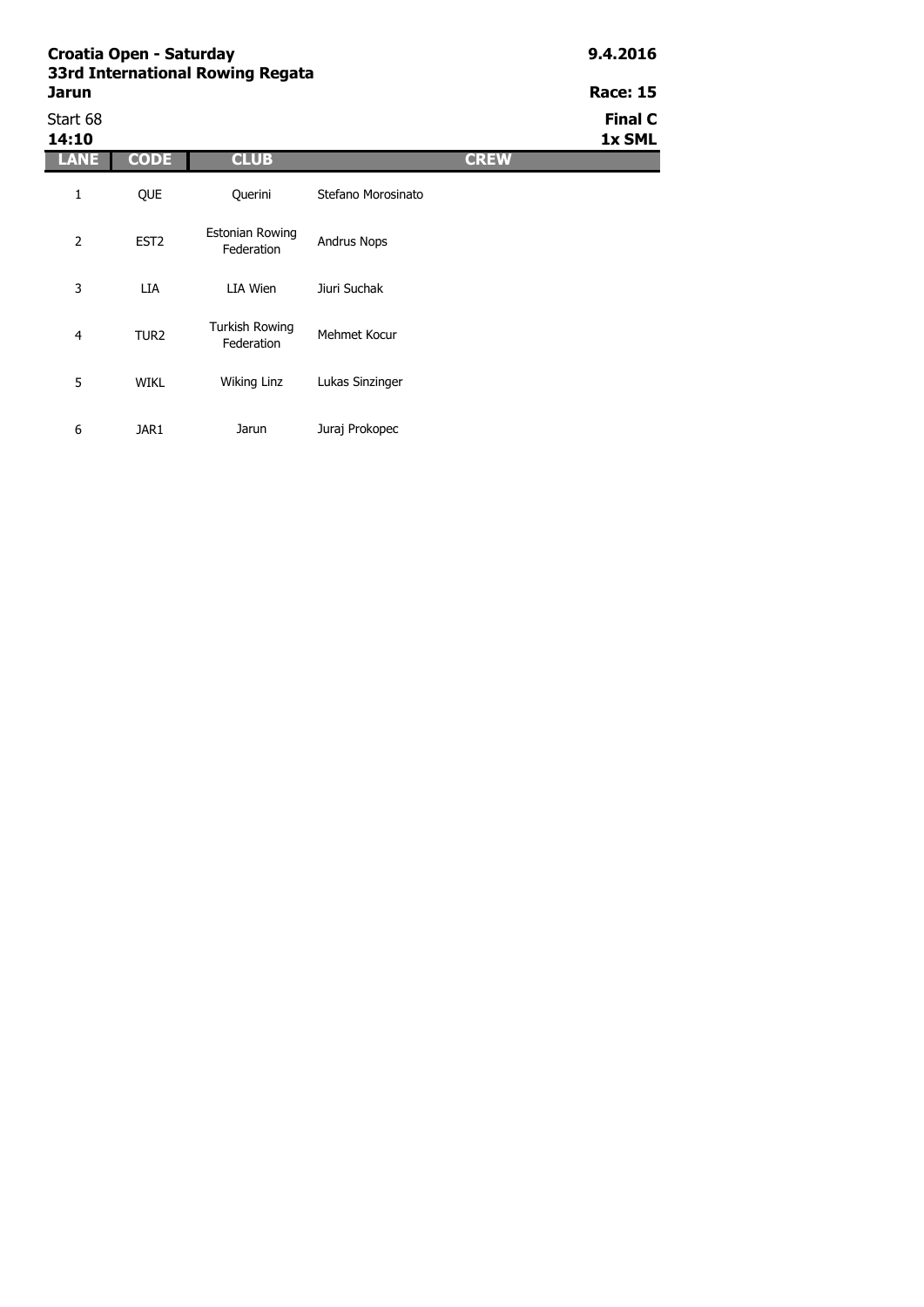| Croatia Open - Saturday<br>33rd International Rowing Regata | 9.4.2016         |                                      |                    |             |                          |
|-------------------------------------------------------------|------------------|--------------------------------------|--------------------|-------------|--------------------------|
| <b>Jarun</b>                                                |                  |                                      |                    |             | <b>Race: 15</b>          |
| Start 68<br>14:10                                           |                  |                                      |                    |             | <b>Final C</b><br>1x SML |
| LANE                                                        | <b>CODE</b>      | <b>CLUB</b>                          |                    | <b>CREW</b> |                          |
| 1                                                           | <b>OUE</b>       | Querini                              | Stefano Morosinato |             |                          |
| 2                                                           | EST <sub>2</sub> | <b>Estonian Rowing</b><br>Federation | <b>Andrus Nops</b> |             |                          |
| 3                                                           | <b>LIA</b>       | LIA Wien                             | Jiuri Suchak       |             |                          |
| $\overline{4}$                                              | TUR <sub>2</sub> | <b>Turkish Rowing</b><br>Federation  | Mehmet Kocur       |             |                          |

Wiking Linz Lukas Sinzinger

Jarun Juraj Prokopec

5 WIKL

6 JAR1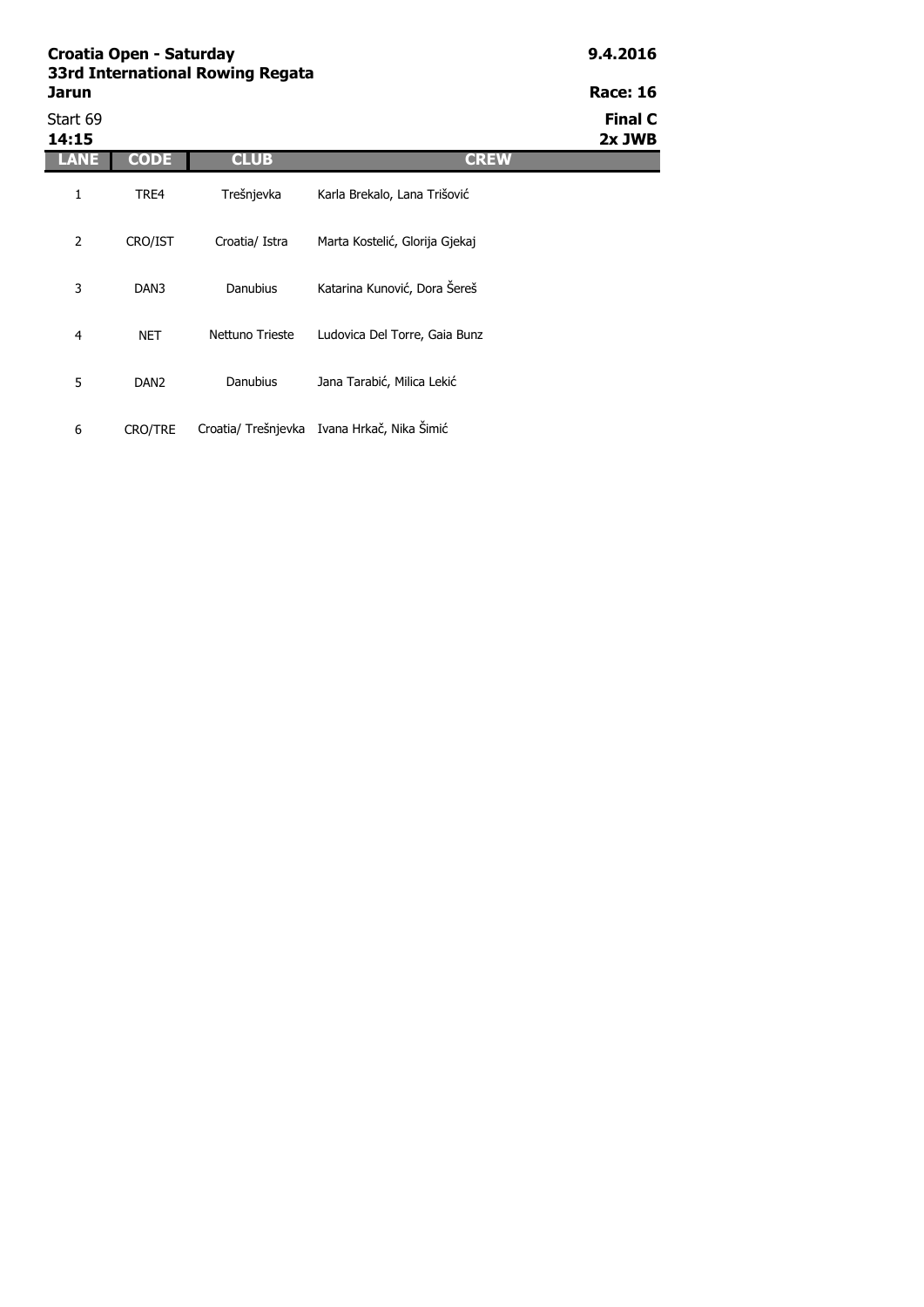|                   | Croatia Open - Saturday<br>33rd International Rowing Regata |                 |                                |                          |  |
|-------------------|-------------------------------------------------------------|-----------------|--------------------------------|--------------------------|--|
| Jarun             |                                                             |                 |                                | <b>Race: 16</b>          |  |
| Start 69<br>14:15 |                                                             |                 |                                | <b>Final C</b><br>2x JWB |  |
| LANE              | <b>CODE</b>                                                 | <b>CLUB</b>     | <b>CREW</b>                    |                          |  |
| 1                 | TRE4                                                        | Trešnjevka      | Karla Brekalo, Lana Trišović   |                          |  |
| 2                 | CRO/IST                                                     | Croatia/ Istra  | Marta Kostelić, Glorija Gjekaj |                          |  |
| 3                 | DAN3                                                        | Danubius        | Katarina Kunović, Dora Šereš   |                          |  |
| 4                 | <b>NET</b>                                                  | Nettuno Trieste | Ludovica Del Torre, Gaia Bunz  |                          |  |
| 5                 | DAN <sub>2</sub>                                            | Danubius        | Jana Tarabić, Milica Lekić     |                          |  |

6 CRO/TRE Croatia/ Trešnjevka Ivana Hrkač, Nika Šimić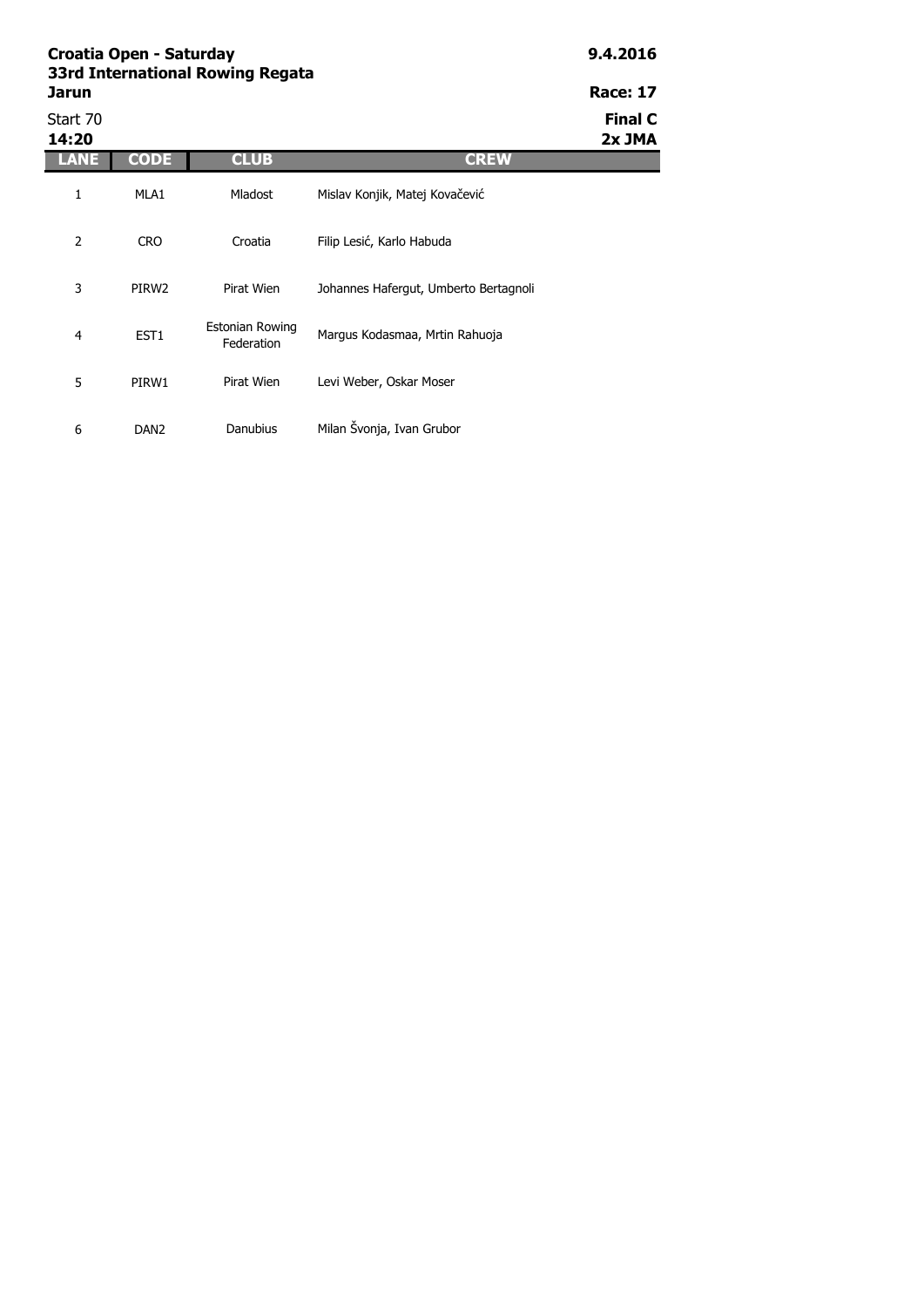|                   | Croatia Open - Saturday<br>33rd International Rowing Regata |                               |                                       |                          |  |  |
|-------------------|-------------------------------------------------------------|-------------------------------|---------------------------------------|--------------------------|--|--|
| Jarun             |                                                             |                               |                                       | <b>Race: 17</b>          |  |  |
| Start 70<br>14:20 |                                                             |                               |                                       | <b>Final C</b><br>2x JMA |  |  |
| LANE              | <b>CODE</b>                                                 | <b>CLUB</b>                   | <b>CREW</b>                           |                          |  |  |
| 1                 | MLA1                                                        | <b>Mladost</b>                | Mislav Konjik, Matej Kovačević        |                          |  |  |
| 2                 | <b>CRO</b>                                                  | Croatia                       | Filip Lesić, Karlo Habuda             |                          |  |  |
| 3                 | PIRW <sub>2</sub>                                           | Pirat Wien                    | Johannes Hafergut, Umberto Bertagnoli |                          |  |  |
| 4                 | EST <sub>1</sub>                                            | Estonian Rowing<br>Federation | Margus Kodasmaa, Mrtin Rahuoja        |                          |  |  |
| 5                 | PIRW1                                                       | Pirat Wien                    | Levi Weber, Oskar Moser               |                          |  |  |

Danubius Milan Švonja, Ivan Grubor

6 DAN2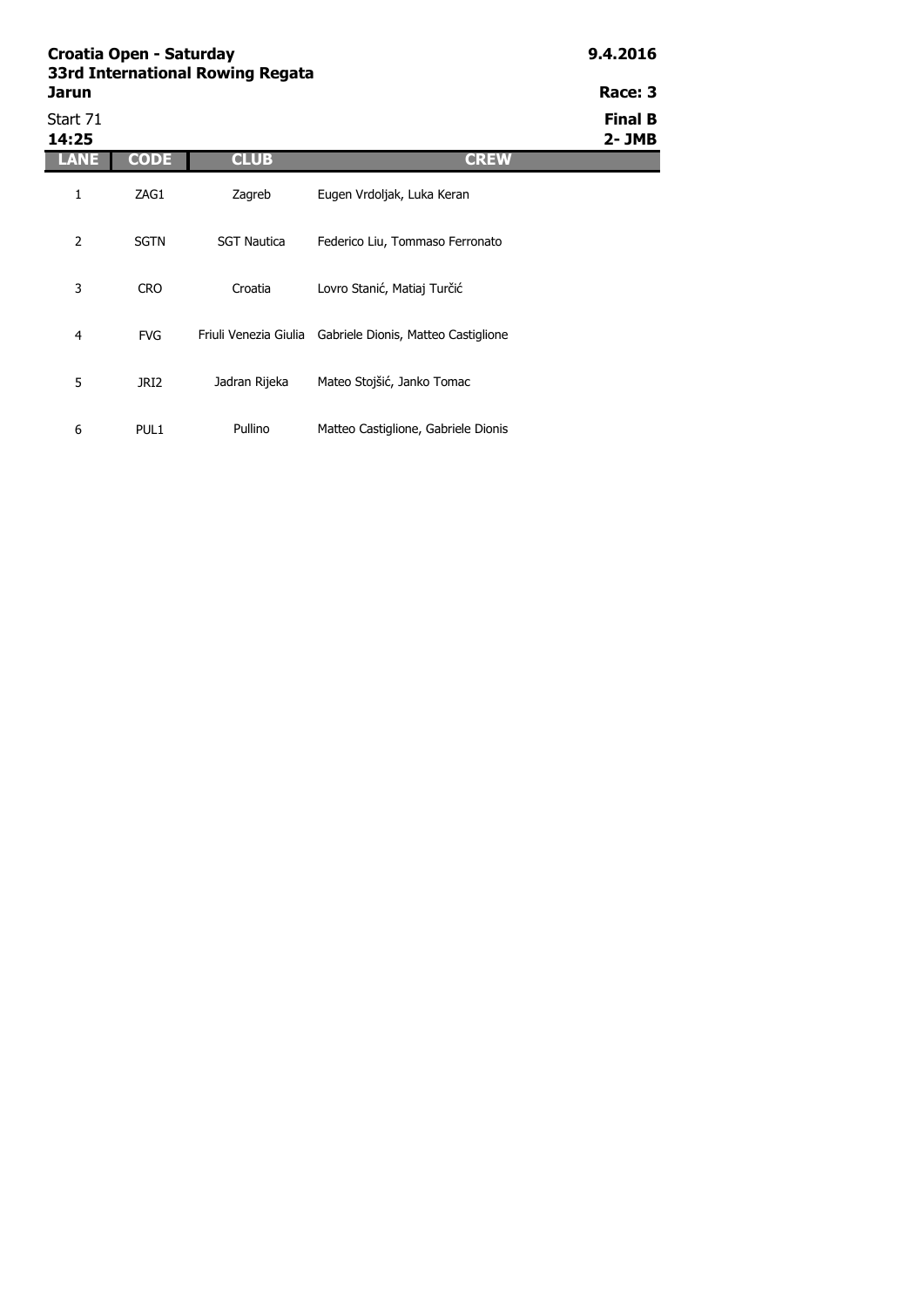|                   | Croatia Open - Saturday<br>33rd International Rowing Regata |                    |                                                           |                             |  |  |
|-------------------|-------------------------------------------------------------|--------------------|-----------------------------------------------------------|-----------------------------|--|--|
| Jarun             |                                                             |                    |                                                           | Race: 3                     |  |  |
| Start 71<br>14:25 |                                                             |                    |                                                           | <b>Final B</b><br>$2 - JMB$ |  |  |
| LANE              | <b>CODE</b>                                                 | <b>CLUB</b>        | <b>CREW</b>                                               |                             |  |  |
| 1                 | ZAG1                                                        | Zagreb             | Eugen Vrdoljak, Luka Keran                                |                             |  |  |
| 2                 | <b>SGTN</b>                                                 | <b>SGT Nautica</b> | Federico Liu, Tommaso Ferronato                           |                             |  |  |
| 3                 | <b>CRO</b>                                                  | Croatia            | Lovro Stanić, Matiaj Turčić                               |                             |  |  |
| 4                 | <b>FVG</b>                                                  |                    | Friuli Venezia Giulia Gabriele Dionis, Matteo Castiglione |                             |  |  |
| 5                 | JRI2                                                        | Jadran Rijeka      | Mateo Stojšić, Janko Tomac                                |                             |  |  |

Pullino Matteo Castiglione, Gabriele Dionis

6 PUL1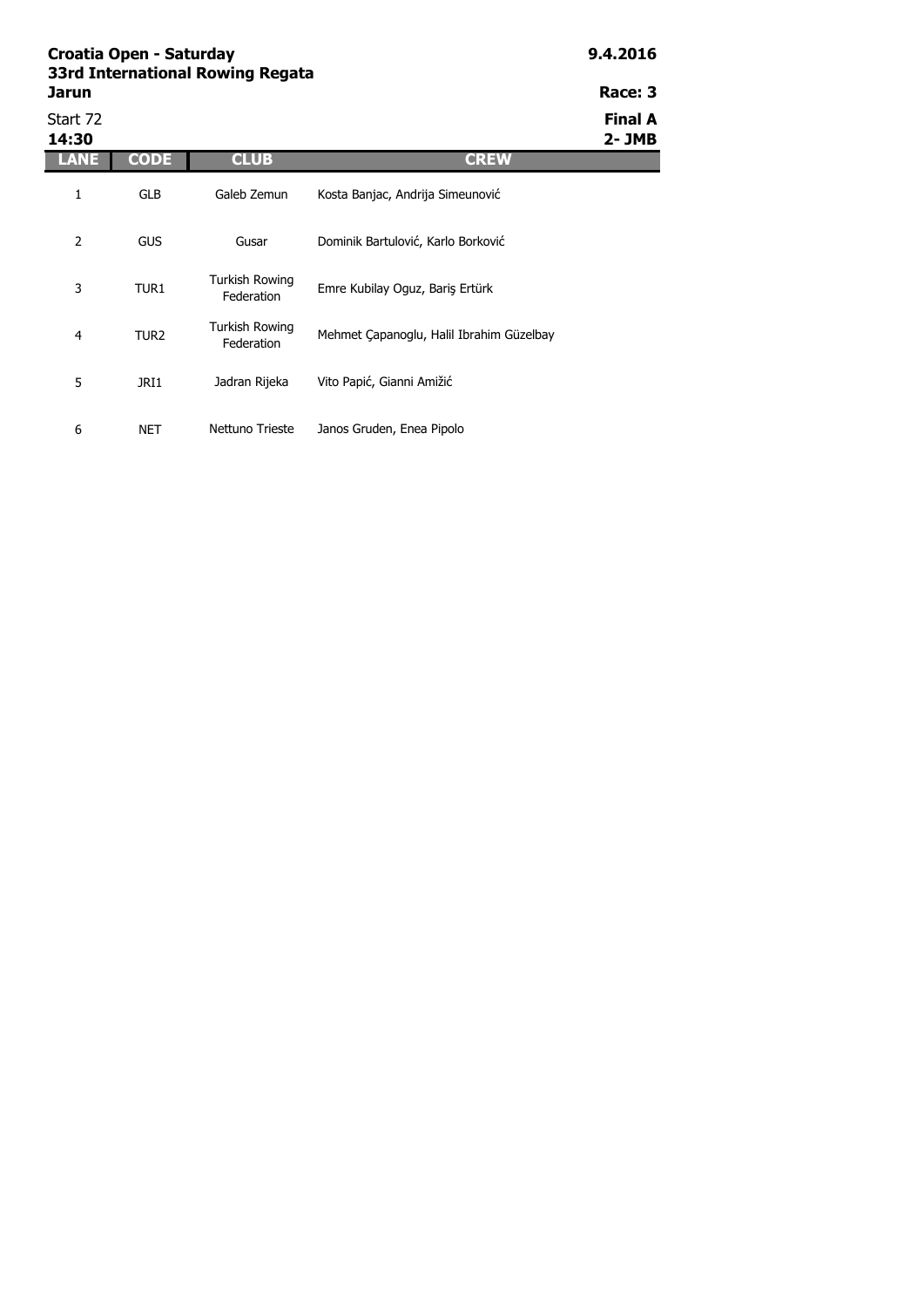|                   | Croatia Open - Saturday<br>33rd International Rowing Regata |                                     |                                          |                      |  |  |
|-------------------|-------------------------------------------------------------|-------------------------------------|------------------------------------------|----------------------|--|--|
| Jarun             |                                                             |                                     |                                          | Race: 3              |  |  |
| Start 72<br>14:30 |                                                             |                                     |                                          | Final A<br>$2 - JMB$ |  |  |
| LANE              | <b>CODE</b>                                                 | <b>CLUB</b>                         | <b>CREW</b>                              |                      |  |  |
| 1                 | <b>GLB</b>                                                  | Galeb Zemun                         | Kosta Banjac, Andrija Simeunović         |                      |  |  |
| $\overline{2}$    | <b>GUS</b>                                                  | Gusar                               | Dominik Bartulović, Karlo Borković       |                      |  |  |
| 3                 | TUR1                                                        | <b>Turkish Rowing</b><br>Federation | Emre Kubilay Oguz, Bariş Ertürk          |                      |  |  |
| $\overline{4}$    | TUR <sub>2</sub>                                            | Turkish Rowing<br>Federation        | Mehmet Çapanoglu, Halil Ibrahim Güzelbay |                      |  |  |
| 5                 | JRI1                                                        | Jadran Rijeka                       | Vito Papić, Gianni Amižić                |                      |  |  |

Nettuno Trieste Janos Gruden, Enea Pipolo

6 NET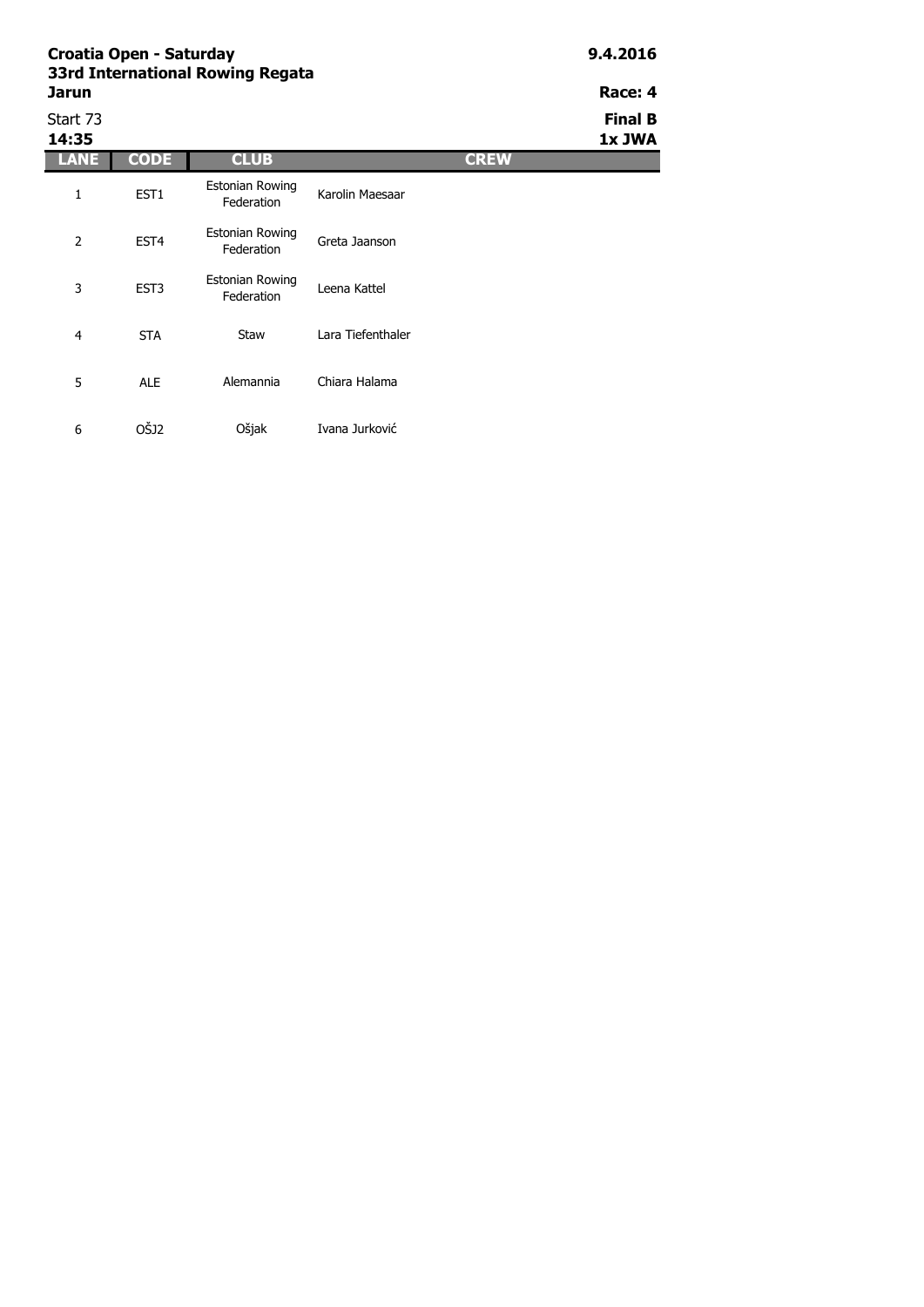| 331 u International Rowllig Regata<br>Jarun | Race: 4<br><b>Final B</b><br>1x JWA |                                      |                 |             |  |
|---------------------------------------------|-------------------------------------|--------------------------------------|-----------------|-------------|--|
| Start 73                                    |                                     |                                      |                 |             |  |
| 14:35                                       |                                     |                                      |                 |             |  |
| LANE                                        | <b>CODE</b>                         | <b>CLUB</b>                          |                 | <b>CREW</b> |  |
|                                             | EST <sub>1</sub>                    | <b>Estonian Rowing</b><br>Federation | Karolin Maesaar |             |  |
|                                             |                                     | Estable Baudes                       |                 |             |  |

6 OŠJ2

| حنمية | ----             | ---                                  |                   | تعملت |
|-------|------------------|--------------------------------------|-------------------|-------|
|       | EST <sub>1</sub> | <b>Estonian Rowing</b><br>Federation | Karolin Maesaar   |       |
| 2     | EST <sub>4</sub> | <b>Estonian Rowing</b><br>Federation | Greta Jaanson     |       |
| 3     | EST3             | <b>Estonian Rowing</b><br>Federation | Leena Kattel      |       |
| 4     | <b>STA</b>       | Staw                                 | Lara Tiefenthaler |       |
| 5     | <b>ALE</b>       | Alemannia                            | Chiara Halama     |       |

Ošjak Ivana Jurković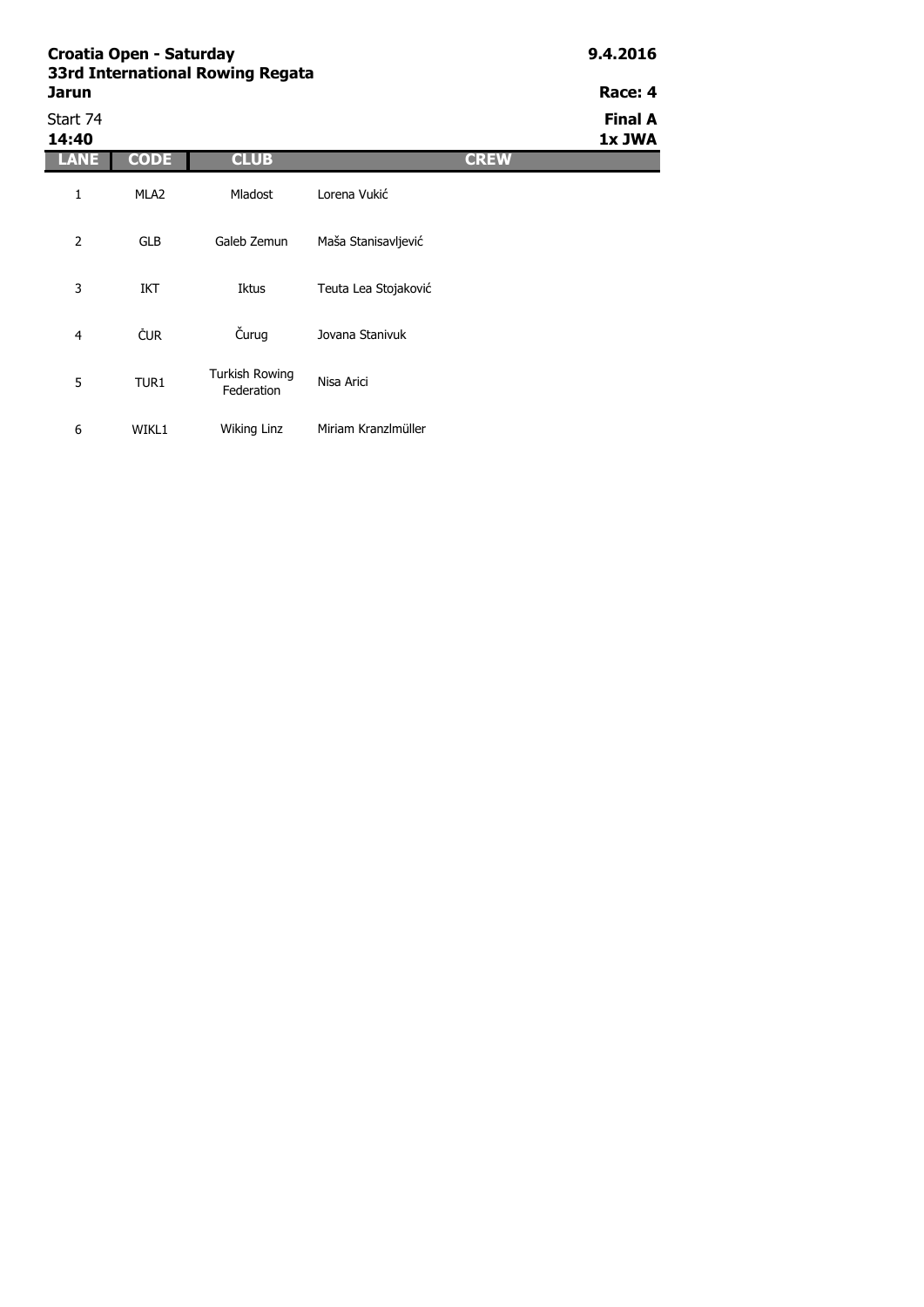| Croatia Open - Saturday<br>33rd International Rowing Regata | 9.4.2016         |                                     |                      |             |                          |
|-------------------------------------------------------------|------------------|-------------------------------------|----------------------|-------------|--------------------------|
| Jarun                                                       |                  |                                     |                      |             | Race: 4                  |
| Start 74<br>14:40                                           |                  |                                     |                      |             | <b>Final A</b><br>1x JWA |
| <b>LANE</b>                                                 | <b>CODE</b>      | <b>CLUB</b>                         |                      | <b>CREW</b> |                          |
| 1                                                           | MLA <sub>2</sub> | Mladost                             | Lorena Vukić         |             |                          |
| $\overline{2}$                                              | <b>GLB</b>       | Galeb Zemun                         | Maša Stanisavljević  |             |                          |
| 3                                                           | IKT              | Iktus                               | Teuta Lea Stojaković |             |                          |
| $\overline{4}$                                              | ČUR              | Čurug                               | Jovana Stanivuk      |             |                          |
| 5                                                           | TUR1             | <b>Turkish Rowing</b><br>Federation | Nisa Arici           |             |                          |
| 6                                                           | WIKL1            | Wiking Linz                         | Miriam Kranzlmüller  |             |                          |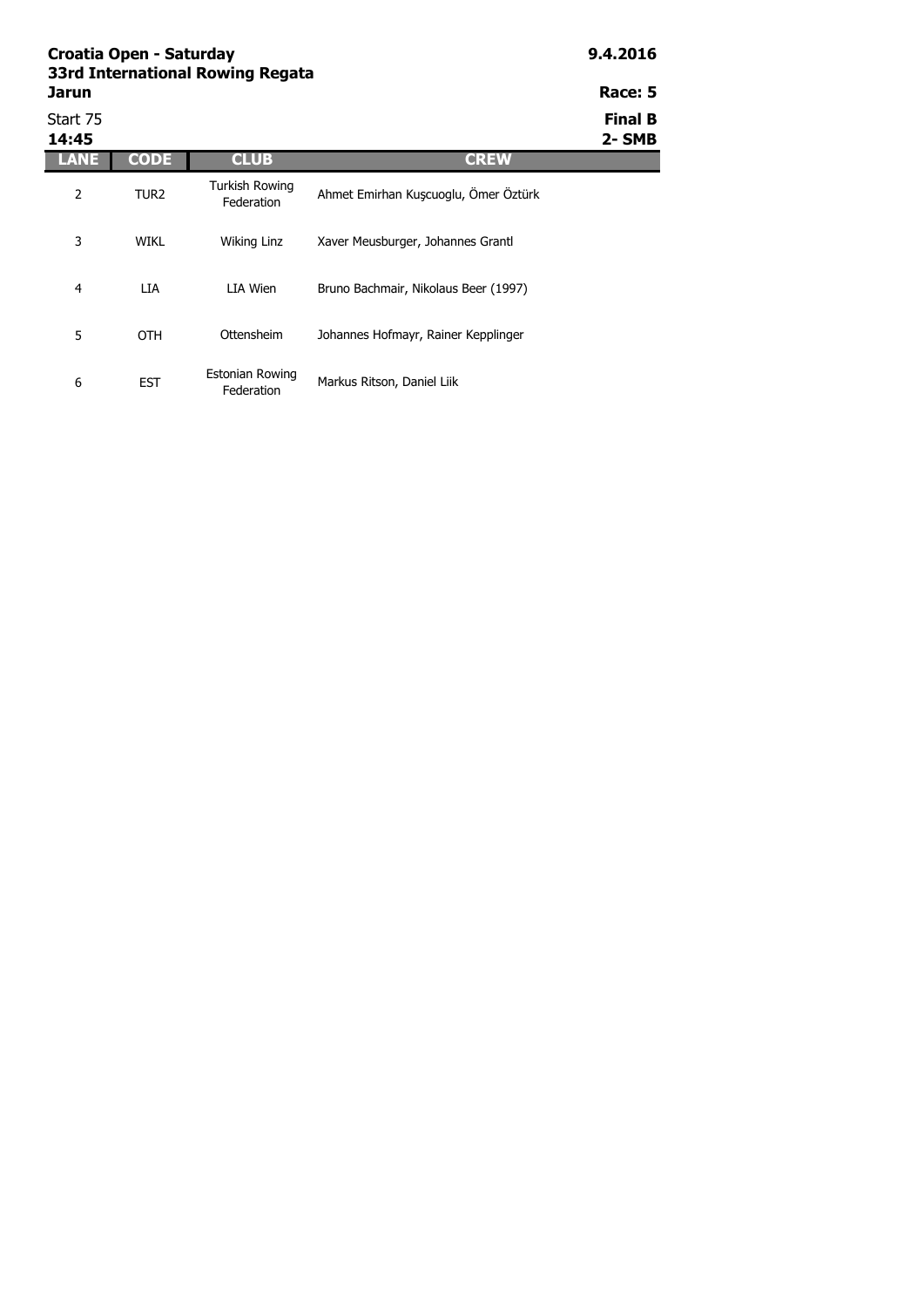| <b>Jarun</b>      |                  |                                     |                                      | Race: 5                 |
|-------------------|------------------|-------------------------------------|--------------------------------------|-------------------------|
| Start 75<br>14:45 |                  |                                     |                                      | <b>Final B</b><br>2-SMB |
| ANE               | <b>CODE</b>      | <b>CLUB</b>                         | <b>CREW</b>                          |                         |
| $\overline{2}$    | TUR <sub>2</sub> | <b>Turkish Rowing</b><br>Federation | Ahmet Emirhan Kuşcuoglu, Ömer Öztürk |                         |
| 3                 | <b>WIKL</b>      | Wiking Linz                         | Xaver Meusburger, Johannes Grantl    |                         |
| 4                 | LIA              | LIA Wien                            | Bruno Bachmair, Nikolaus Beer (1997) |                         |
| 5                 | <b>OTH</b>       | Ottensheim                          | Johannes Hofmayr, Rainer Kepplinger  |                         |
| 6                 | <b>EST</b>       | Estonian Rowing<br>Federation       | Markus Ritson, Daniel Liik           |                         |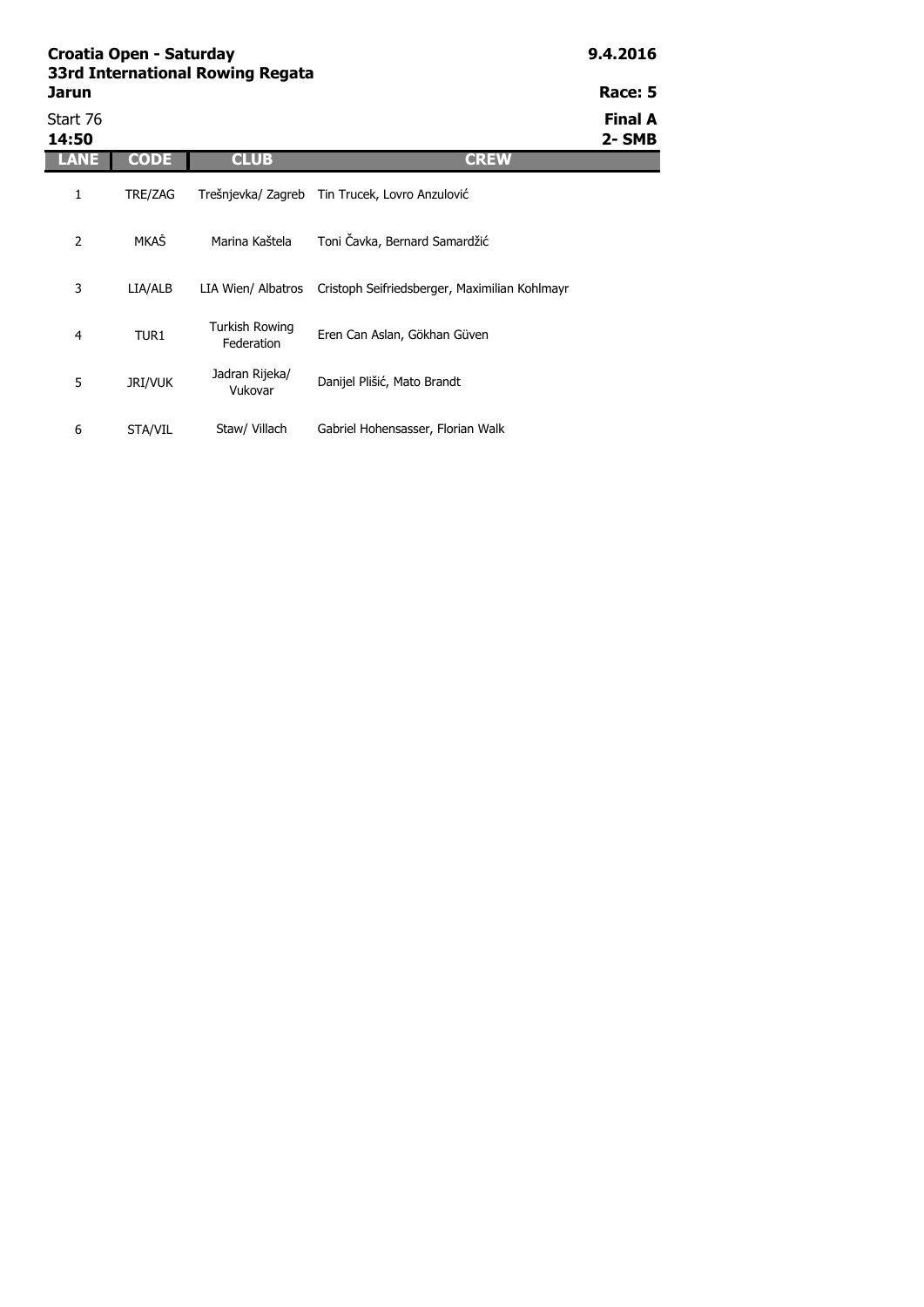| Croatia Open - Saturday<br>33rd International Rowing Regata |             |                              |                                                |                          |  |  |
|-------------------------------------------------------------|-------------|------------------------------|------------------------------------------------|--------------------------|--|--|
| <b>Jarun</b>                                                |             |                              |                                                |                          |  |  |
| Start 76<br>14:50                                           |             |                              |                                                | <b>Final A</b><br>2- SMB |  |  |
| LANE                                                        | <b>CODE</b> | <b>CLUB</b>                  | <b>CREW</b>                                    |                          |  |  |
| 1                                                           | TRE/ZAG     |                              | Trešnjevka/ Zagreb Tin Trucek, Lovro Anzulović |                          |  |  |
| 2                                                           | MKAŠ        | Marina Kaštela               | Toni Čavka, Bernard Samardžić                  |                          |  |  |
| 3                                                           | LIA/ALB     | LIA Wien/ Albatros           | Cristoph Seifriedsberger, Maximilian Kohlmayr  |                          |  |  |
| 4                                                           | TUR1        | Turkish Rowing<br>Federation | Eren Can Aslan, Gökhan Güven                   |                          |  |  |

Danijel Plišić, Mato Brandt

Staw/ Villach Gabriel Hohensasser, Florian Walk

5 JRI/VUK

Jadran Rijeka/

6 STA/VIL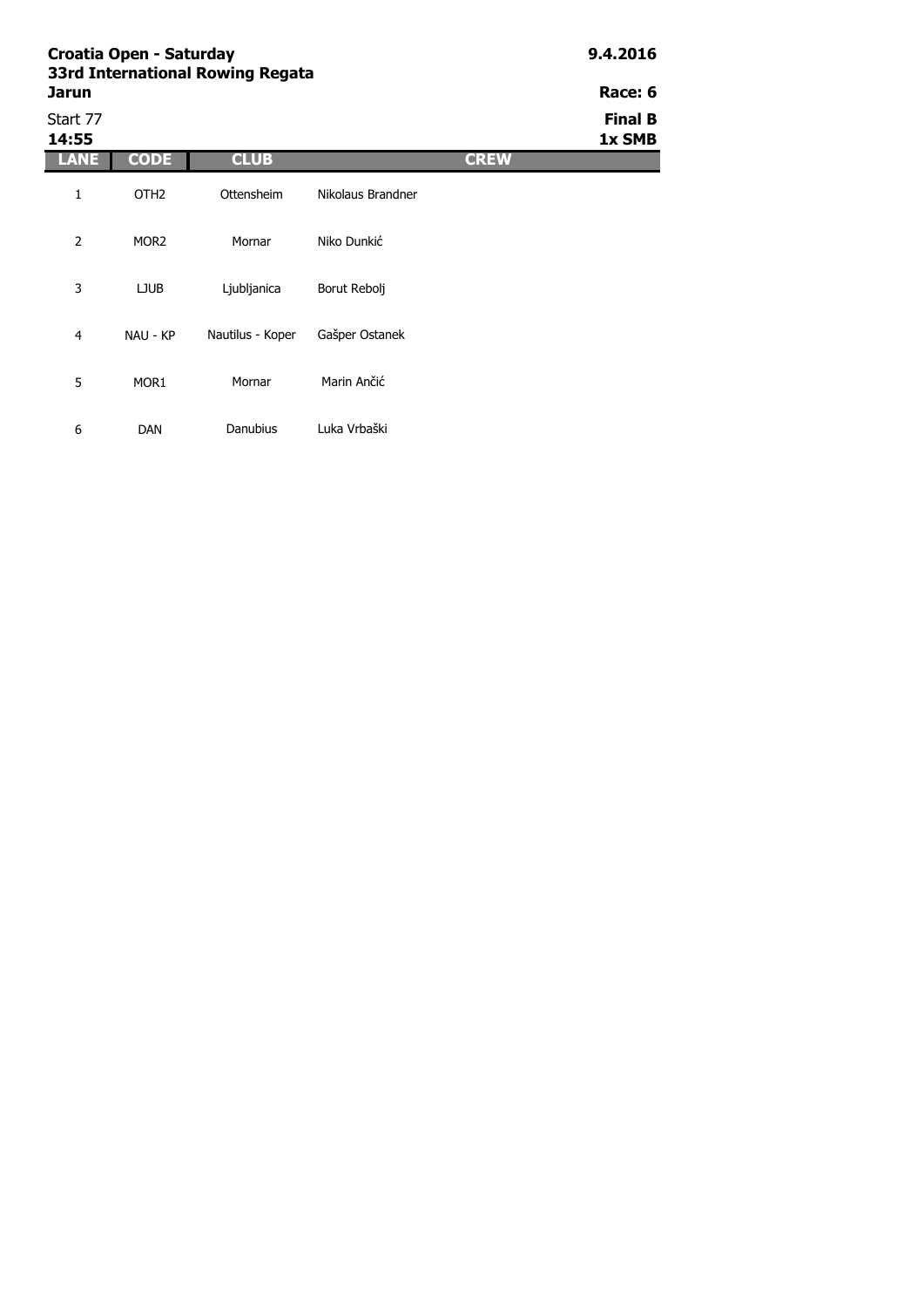| Croatia Open - Saturday<br>33rd International Rowing Regata | 9.4.2016         |                  |                   |             |                          |
|-------------------------------------------------------------|------------------|------------------|-------------------|-------------|--------------------------|
| <b>Jarun</b>                                                |                  |                  |                   |             | Race: 6                  |
| Start 77<br>14:55                                           |                  |                  |                   |             | <b>Final B</b><br>1x SMB |
| LANE                                                        | <b>CODE</b>      | <b>CLUB</b>      |                   | <b>CREW</b> |                          |
| 1                                                           | OTH <sub>2</sub> | Ottensheim       | Nikolaus Brandner |             |                          |
| 2                                                           | MOR <sub>2</sub> | Mornar           | Niko Dunkić       |             |                          |
| 3                                                           | <b>LJUB</b>      | Ljubljanica      | Borut Rebolj      |             |                          |
| $\overline{4}$                                              | NAU - KP         | Nautilus - Koper | Gašper Ostanek    |             |                          |
| 5                                                           | MOR <sub>1</sub> | Mornar           | Marin Ančić       |             |                          |
| 6                                                           | <b>DAN</b>       | Danubius         | Luka Vrbaški      |             |                          |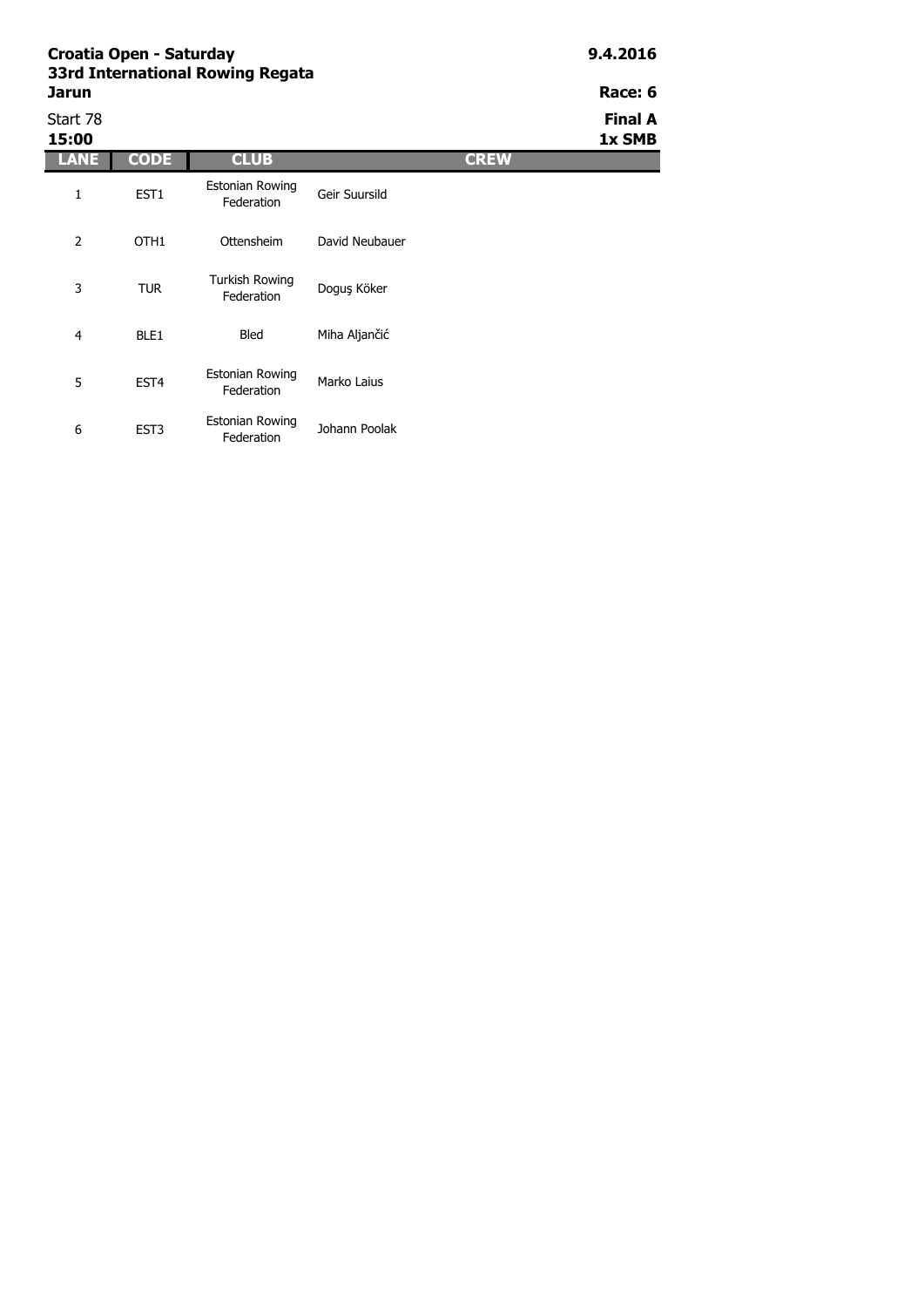Estonian Rowing

Estonian Rowing

tonian Rowing<br>Federation Marko Laius

| 33rd International Rowing Regata<br>Jarun | Race: 6          |                                      |                |             |                          |
|-------------------------------------------|------------------|--------------------------------------|----------------|-------------|--------------------------|
| Start 78<br>15:00                         |                  |                                      |                |             | <b>Final A</b><br>1x SMB |
| LANE                                      | <b>CODE</b>      | <b>CLUB</b>                          |                | <b>CREW</b> |                          |
| 1                                         | EST1             | <b>Estonian Rowing</b><br>Federation | Geir Suursild  |             |                          |
| 2                                         | OTH <sub>1</sub> | Ottensheim                           | David Neubauer |             |                          |
| 3                                         | <b>TUR</b>       | <b>Turkish Rowing</b><br>Federation  | Doguş Köker    |             |                          |
| 4                                         | BLE <sub>1</sub> | <b>Bled</b>                          | Miha Aljančić  |             |                          |

Johann Poolak

5 EST4

6 EST3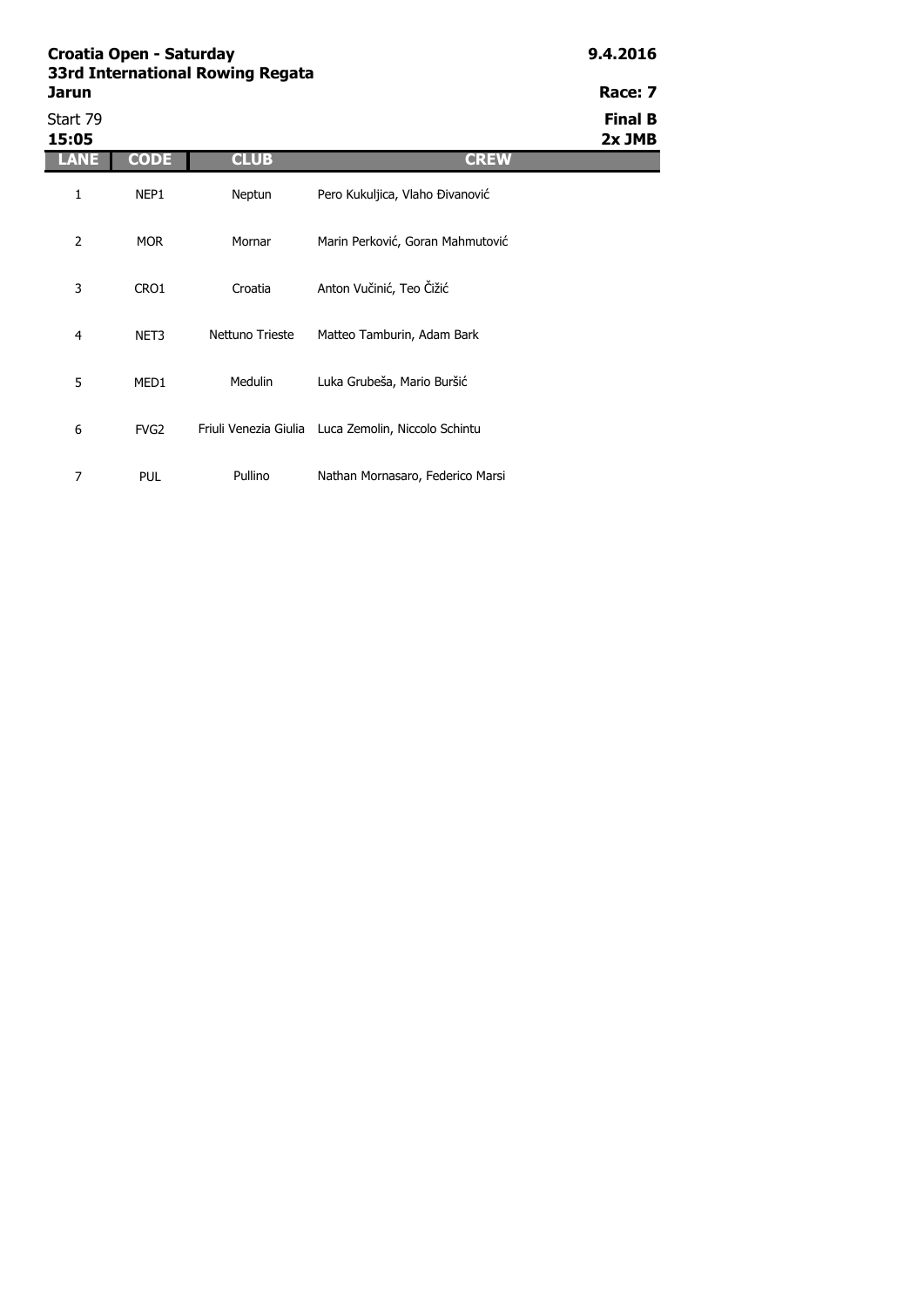| Croatia Open - Saturday<br>33rd International Rowing Regata<br>Jarun | 9.4.2016<br>Race: 7 |                 |                                                     |                          |
|----------------------------------------------------------------------|---------------------|-----------------|-----------------------------------------------------|--------------------------|
| Start 79<br>15:05                                                    |                     |                 |                                                     | <b>Final B</b><br>2x JMB |
| LANE                                                                 | <b>CODE</b>         | <b>CLUB</b>     | <b>CREW</b>                                         |                          |
| 1                                                                    | NEP1                | Neptun          | Pero Kukuljica, Vlaho Đivanović                     |                          |
| $\overline{2}$                                                       | <b>MOR</b>          | Mornar          | Marin Perković, Goran Mahmutović                    |                          |
| 3                                                                    | CRO1                | Croatia         | Anton Vučinić, Teo Čižić                            |                          |
| $\overline{4}$                                                       | NET3                | Nettuno Trieste | Matteo Tamburin, Adam Bark                          |                          |
| 5                                                                    | MED1                | <b>Medulin</b>  | Luka Grubeša, Mario Buršić                          |                          |
| 6                                                                    | FVG <sub>2</sub>    |                 | Friuli Venezia Giulia Luca Zemolin, Niccolo Schintu |                          |
| 7                                                                    | <b>PUL</b>          | Pullino         | Nathan Mornasaro, Federico Marsi                    |                          |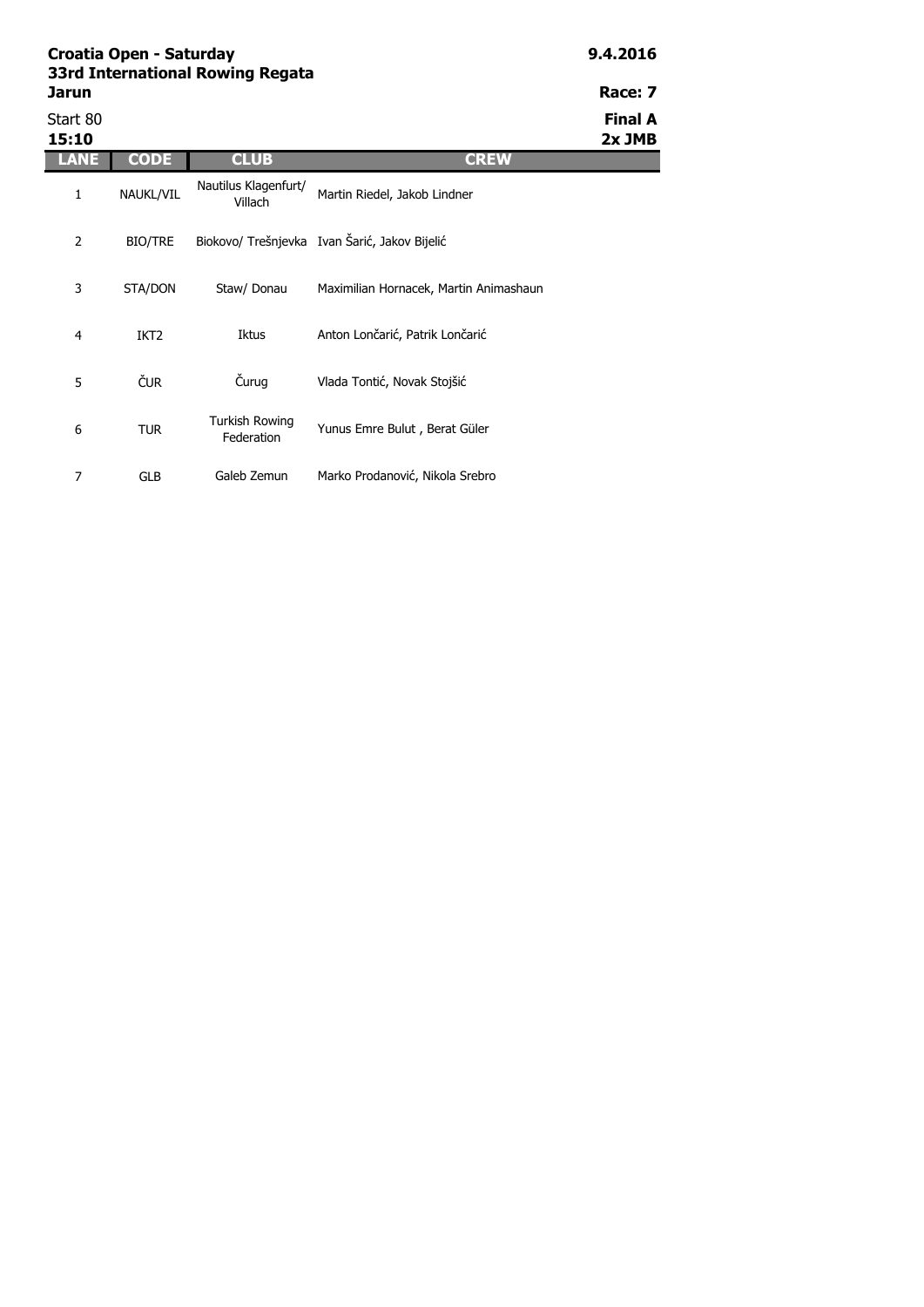| Jarun             |                  |                                 |                                               | Race: 7                  |
|-------------------|------------------|---------------------------------|-----------------------------------------------|--------------------------|
| Start 80<br>15:10 |                  |                                 |                                               | <b>Final A</b><br>2x JMB |
| LANE              | <b>CODE</b>      | <b>CLUB</b>                     | <b>CREW</b>                                   |                          |
| $\mathbf{1}$      | NAUKL/VIL        | Nautilus Klagenfurt/<br>Villach | Martin Riedel, Jakob Lindner                  |                          |
| $\overline{2}$    | <b>BIO/TRE</b>   |                                 | Biokovo/ Trešnjevka Ivan Šarić, Jakov Bijelić |                          |
| 3                 | STA/DON          | Staw/ Donau                     | Maximilian Hornacek, Martin Animashaun        |                          |
| 4                 | IKT <sub>2</sub> | Iktus                           | Anton Lončarić, Patrik Lončarić               |                          |
| 5                 | ČUR.             | Čurug                           | Vlada Tontić, Novak Stojšić                   |                          |
| 6                 | TUR              | Turkish Rowing<br>Federation    | Yunus Emre Bulut, Berat Güler                 |                          |

### 7 GLB Galeb Zemun Marko Prodanović, Nikola Srebro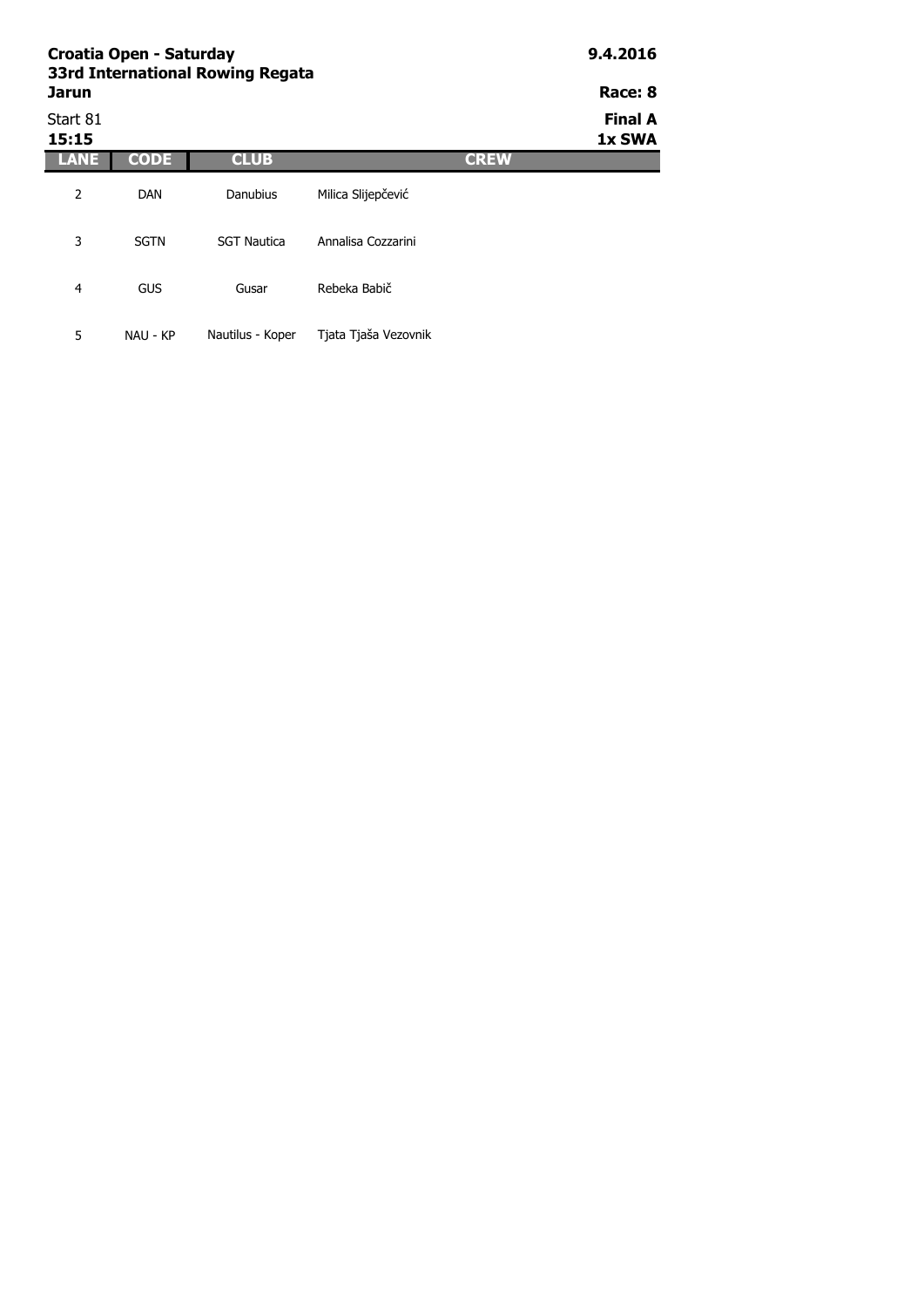| Croatia Open - Saturday<br>33rd International Rowing Regata | 9.4.2016    |                    |                      |             |                          |  |
|-------------------------------------------------------------|-------------|--------------------|----------------------|-------------|--------------------------|--|
| <b>Jarun</b>                                                |             |                    |                      |             |                          |  |
| Start 81<br>15:15                                           |             |                    |                      |             | <b>Final A</b><br>1x SWA |  |
| LANE                                                        | <b>CODE</b> | <b>CLUB</b>        |                      | <b>CREW</b> |                          |  |
| 2                                                           | <b>DAN</b>  | Danubius           | Milica Slijepčević   |             |                          |  |
| 3                                                           | <b>SGTN</b> | <b>SGT Nautica</b> | Annalisa Cozzarini   |             |                          |  |
| 4                                                           | GUS         | Gusar              | Rebeka Babič         |             |                          |  |
| 5                                                           | NAU - KP    | Nautilus - Koper   | Tjata Tjaša Vezovnik |             |                          |  |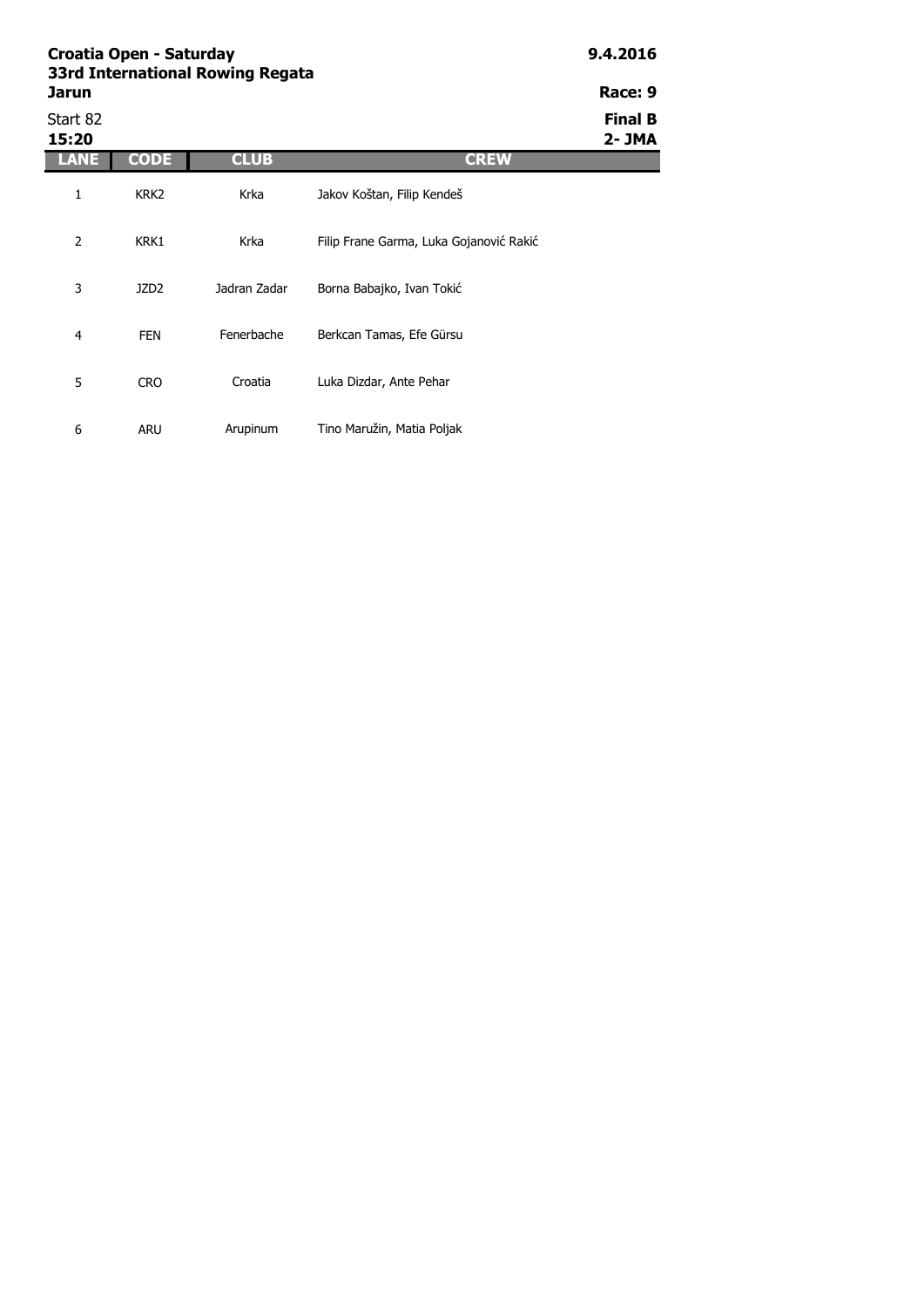|                   | Croatia Open - Saturday<br>33rd International Rowing Regata |              |                                         |                          |  |
|-------------------|-------------------------------------------------------------|--------------|-----------------------------------------|--------------------------|--|
| Jarun             |                                                             |              |                                         | Race: 9                  |  |
| Start 82<br>15:20 |                                                             |              |                                         | <b>Final B</b><br>2- JMA |  |
| LANE              | CODE                                                        | <b>CLUB</b>  | <b>CREW</b>                             |                          |  |
| 1                 | KRK <sub>2</sub>                                            | Krka         | Jakov Koštan, Filip Kendeš              |                          |  |
| 2                 | KRK1                                                        | Krka         | Filip Frane Garma, Luka Gojanović Rakić |                          |  |
| 3                 | JZD <sub>2</sub>                                            | Jadran Zadar | Borna Babajko, Ivan Tokić               |                          |  |
| 4                 | <b>FEN</b>                                                  | Fenerbache   | Berkcan Tamas, Efe Gürsu                |                          |  |
| 5                 | <b>CRO</b>                                                  | Croatia      | Luka Dizdar, Ante Pehar                 |                          |  |
|                   |                                                             |              |                                         |                          |  |

Arupinum Tino Maružin, Matia Poljak

6 ARU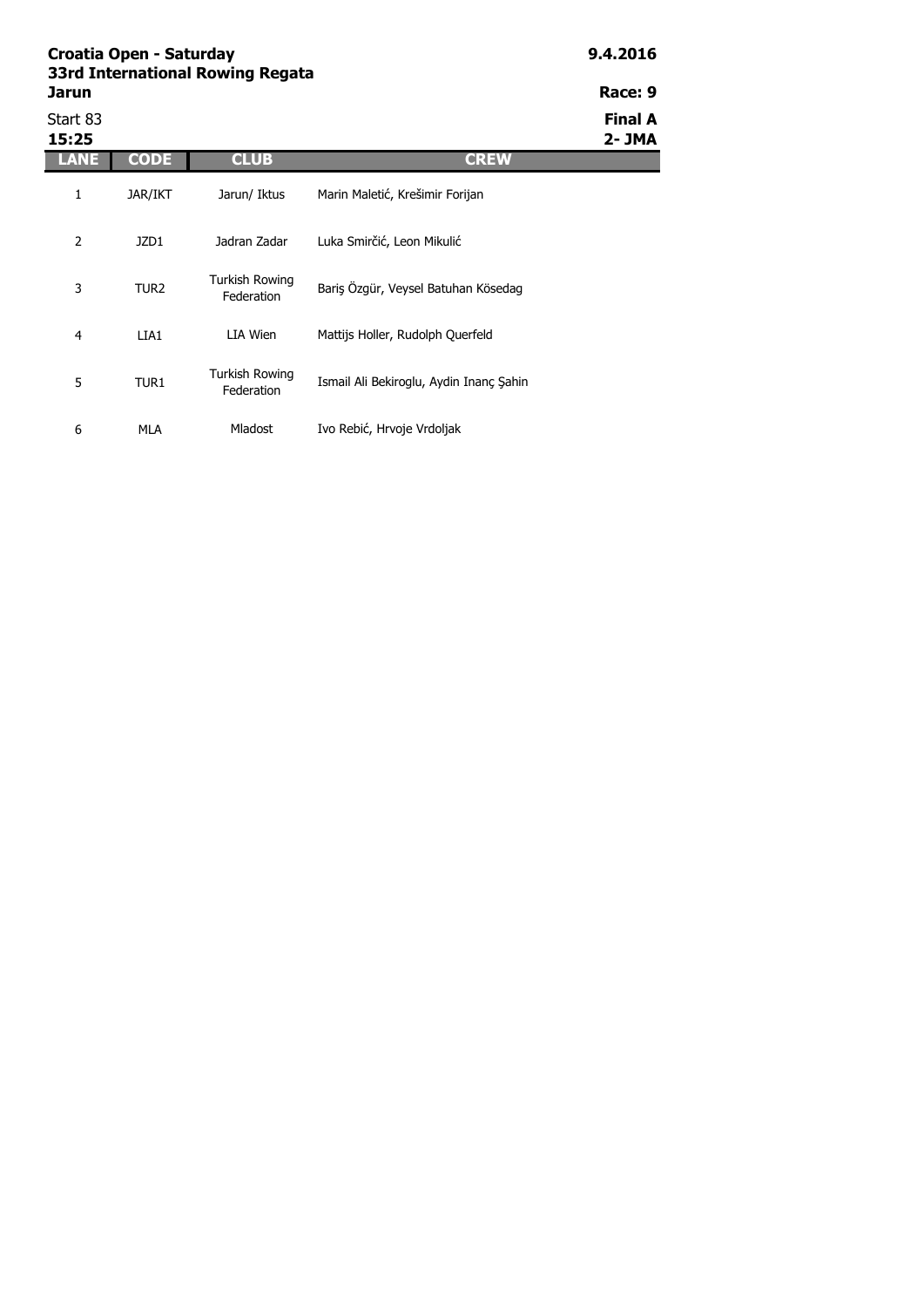| Croatia Open - Saturday<br>33rd International Rowing Regata | 9.4.2016         |                              |                                         |                         |
|-------------------------------------------------------------|------------------|------------------------------|-----------------------------------------|-------------------------|
| Jarun                                                       |                  |                              |                                         | Race: 9                 |
| Start 83<br>15:25                                           |                  |                              |                                         | <b>Final A</b><br>2-JMA |
| LANE                                                        | <b>CODE</b>      | <b>CLUB</b>                  | <b>CREW</b>                             |                         |
| 1                                                           | <b>JAR/IKT</b>   | Jarun/ Iktus                 | Marin Maletić, Krešimir Forijan         |                         |
| 2                                                           | JZD1             | Jadran Zadar                 | Luka Smirčić, Leon Mikulić              |                         |
| 3                                                           | TUR <sub>2</sub> | Turkish Rowing<br>Federation | Bariş Özgür, Veysel Batuhan Kösedag     |                         |
| 4                                                           | LIA1             | LIA Wien                     | Mattijs Holler, Rudolph Querfeld        |                         |
| 5                                                           | TUR1             | Turkish Rowing<br>Federation | Ismail Ali Bekiroglu, Aydin Inanç Şahin |                         |

Mladost Ivo Rebić, Hrvoje Vrdoljak

6 MLA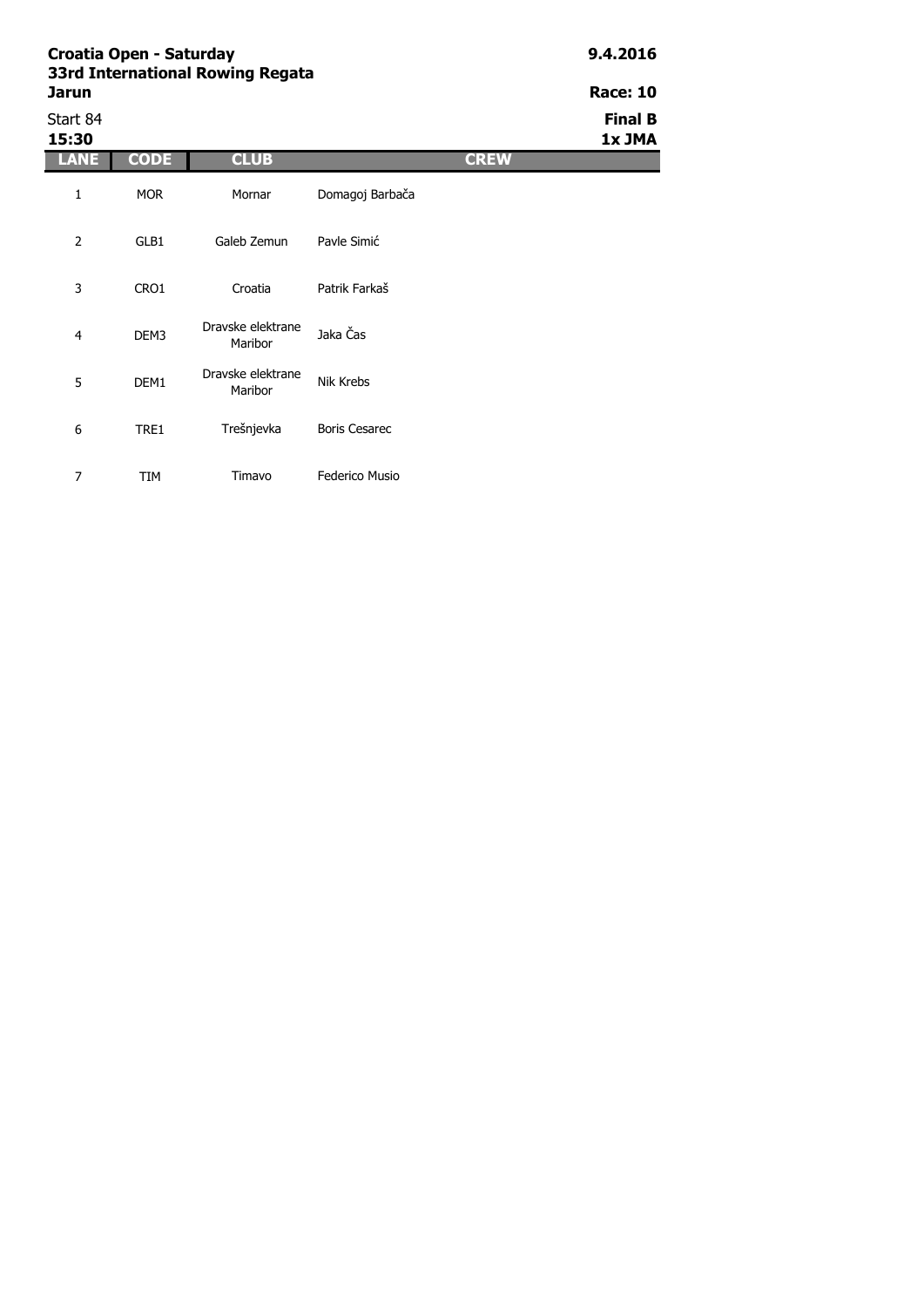| 33rd International Rowing Regata<br>Jarun | <b>Race: 10</b> |             |                 |             |                          |
|-------------------------------------------|-----------------|-------------|-----------------|-------------|--------------------------|
| Start 84<br>15:30                         |                 |             |                 |             | <b>Final B</b><br>1x JMA |
| LANE                                      | <b>CODE</b>     | <b>CLUB</b> |                 | <b>CREW</b> |                          |
| 1                                         | <b>MOR</b>      | Mornar      | Domagoj Barbača |             |                          |
| 2                                         | GLB1            | Galeb Zemun | Payle Simić     |             |                          |
| 3                                         | CRO1            | Croatia     | Patrik Farkaš   |             |                          |

| 4 | DEM3             | Dravske elektrane<br>Maribor | Jaka Čas             |
|---|------------------|------------------------------|----------------------|
| 5 | DEM <sub>1</sub> | Dravske elektrane<br>Maribor | Nik Krebs            |
| 6 | TRE1             | Trešnjevka                   | <b>Boris Cesarec</b> |
|   | īΜ               | Timavo                       | Federico Musio       |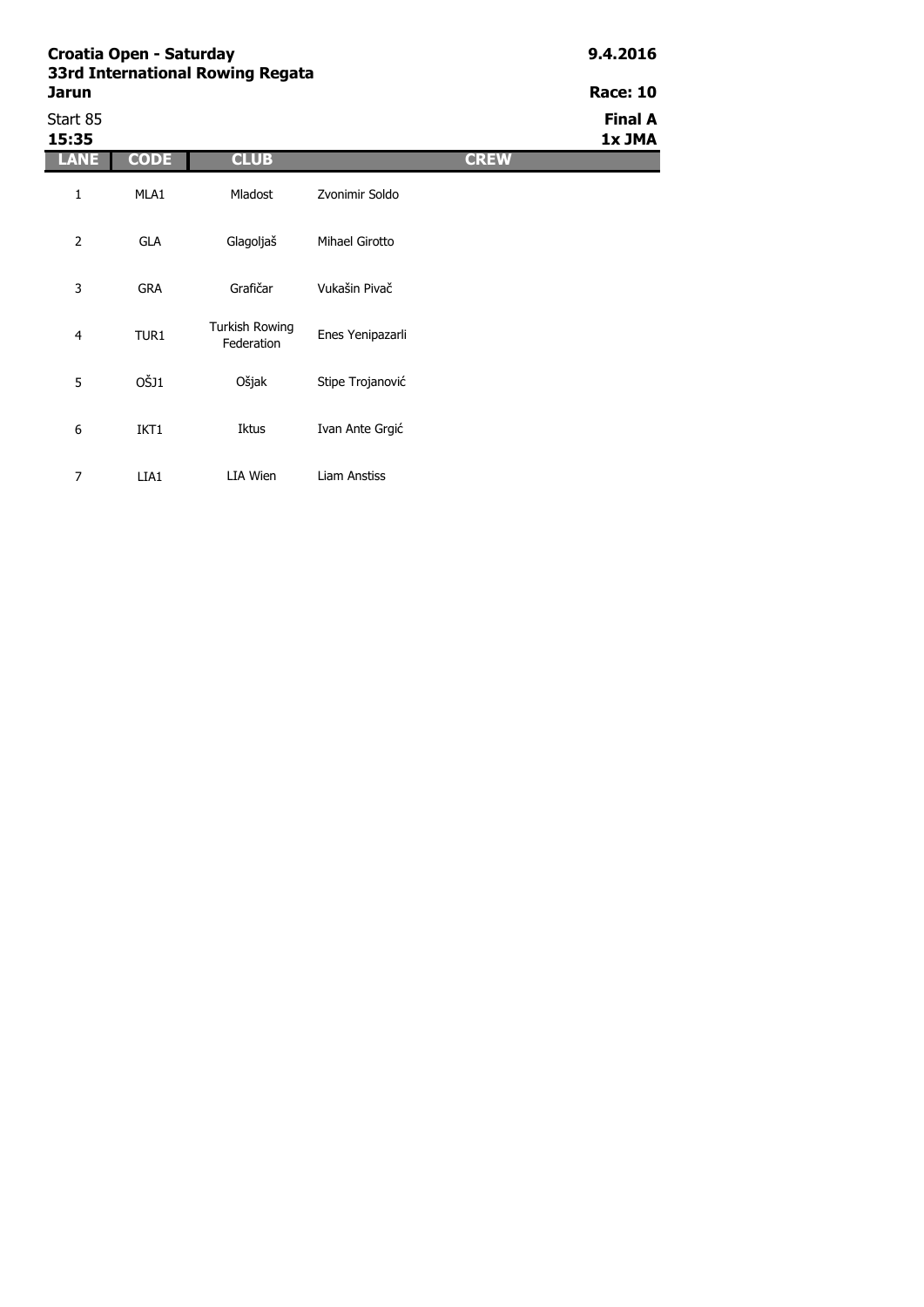|                |             | <b>3310 International Rowllig Regata</b> |                  |             | <b>Race: 10</b> |
|----------------|-------------|------------------------------------------|------------------|-------------|-----------------|
| Jarun          |             |                                          |                  |             |                 |
| Start 85       |             |                                          |                  |             | <b>Final A</b>  |
| 15:35          |             |                                          |                  |             | 1x JMA          |
| <b>LANE</b>    | <b>CODE</b> | <b>CLUB</b>                              |                  | <b>CREW</b> |                 |
| $\mathbf{1}$   | MLA1        | Mladost                                  | Zvonimir Soldo   |             |                 |
| $\overline{2}$ | GLA         | Glagoljaš                                | Mihael Girotto   |             |                 |
| 3              | <b>GRA</b>  | Grafičar                                 | Vukašin Pivač    |             |                 |
| $\overline{4}$ | TUR1        | Turkish Rowing<br>Federation             | Enes Yenipazarli |             |                 |
| 5              | OŠJ1        | Ošjak                                    | Stipe Trojanović |             |                 |
| 6              | IKT1        | Iktus                                    | Ivan Ante Grgić  |             |                 |
| 7              | LIA1        | LIA Wien                                 | Liam Anstiss     |             |                 |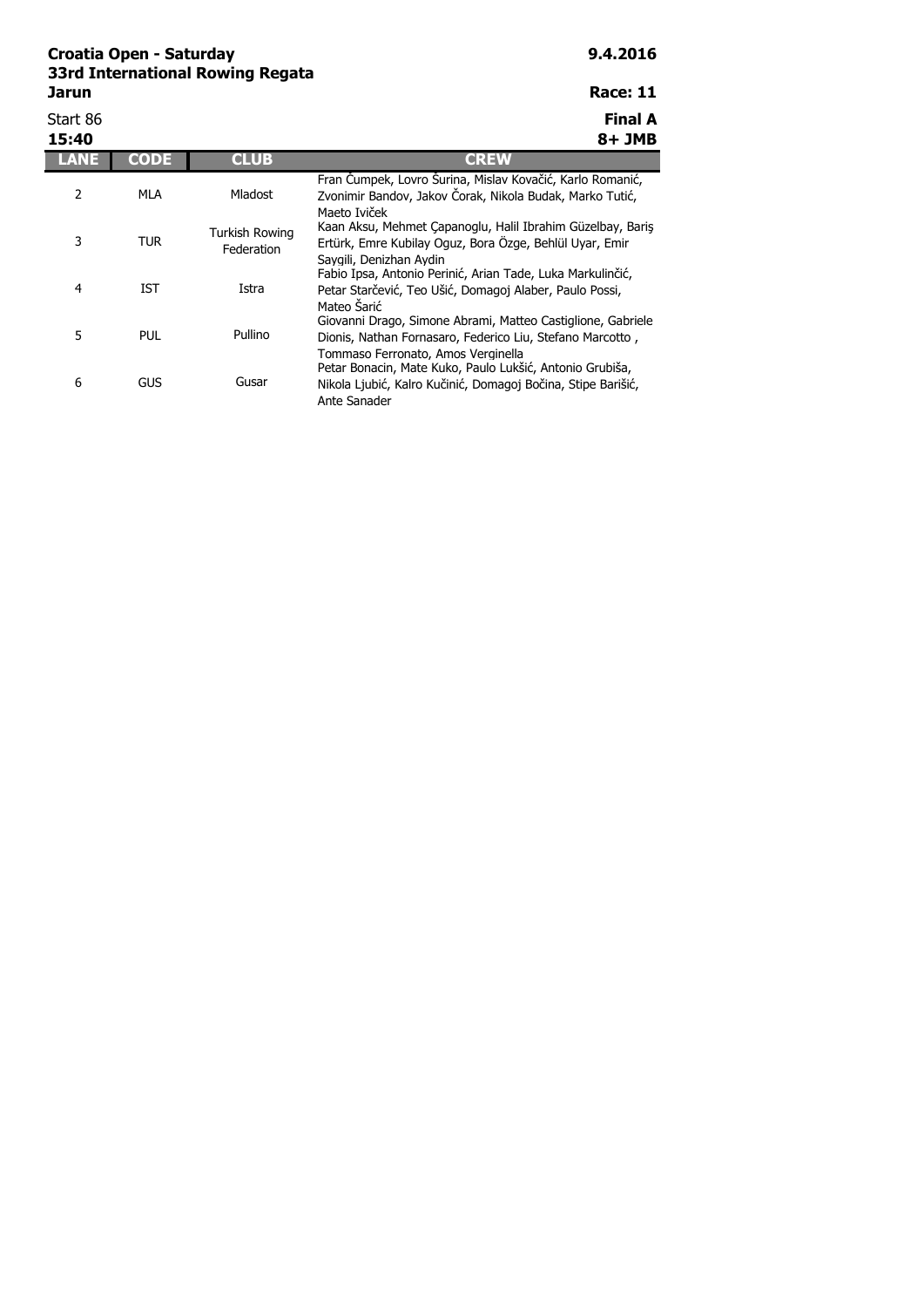Start 86 **Final A**

| 15:40 |            |                                     | 8+ JMB                                                                                                                                                                         |
|-------|------------|-------------------------------------|--------------------------------------------------------------------------------------------------------------------------------------------------------------------------------|
|       | CODE       | <b>CLUB</b>                         | <b>CREW</b>                                                                                                                                                                    |
| 2     | MLA        | Mladost                             | Fran Čumpek, Lovro Šurina, Mislav Kovačić, Karlo Romanić,<br>Zvonimir Bandov, Jakov Čorak, Nikola Budak, Marko Tutić,<br>Maeto Iviček                                          |
| 3     | <b>TUR</b> | <b>Turkish Rowing</b><br>Federation | Kaan Aksu, Mehmet Çapanoglu, Halil Ibrahim Güzelbay, Baris<br>Ertürk, Emre Kubilay Oguz, Bora Özge, Behlül Uyar, Emir                                                          |
| 4     | <b>IST</b> | Istra                               | Savgili, Denizhan Avdin<br>Fabio Ipsa, Antonio Perinić, Arian Tade, Luka Markulinčić,<br>Petar Starčević, Teo Ušić, Domagoj Alaber, Paulo Possi,<br>Mateo Šarić                |
| 5     | PUL        | Pullino                             | Giovanni Drago, Simone Abrami, Matteo Castiglione, Gabriele<br>Dionis, Nathan Fornasaro, Federico Liu, Stefano Marcotto,                                                       |
| 6     | <b>GUS</b> | Gusar                               | Tommaso Ferronato. Amos Verginella<br>Petar Bonacin, Mate Kuko, Paulo Lukšić, Antonio Grubiša,<br>Nikola Ljubić, Kalro Kučinić, Domagoj Bočina, Stipe Barišić,<br>Ante Sanader |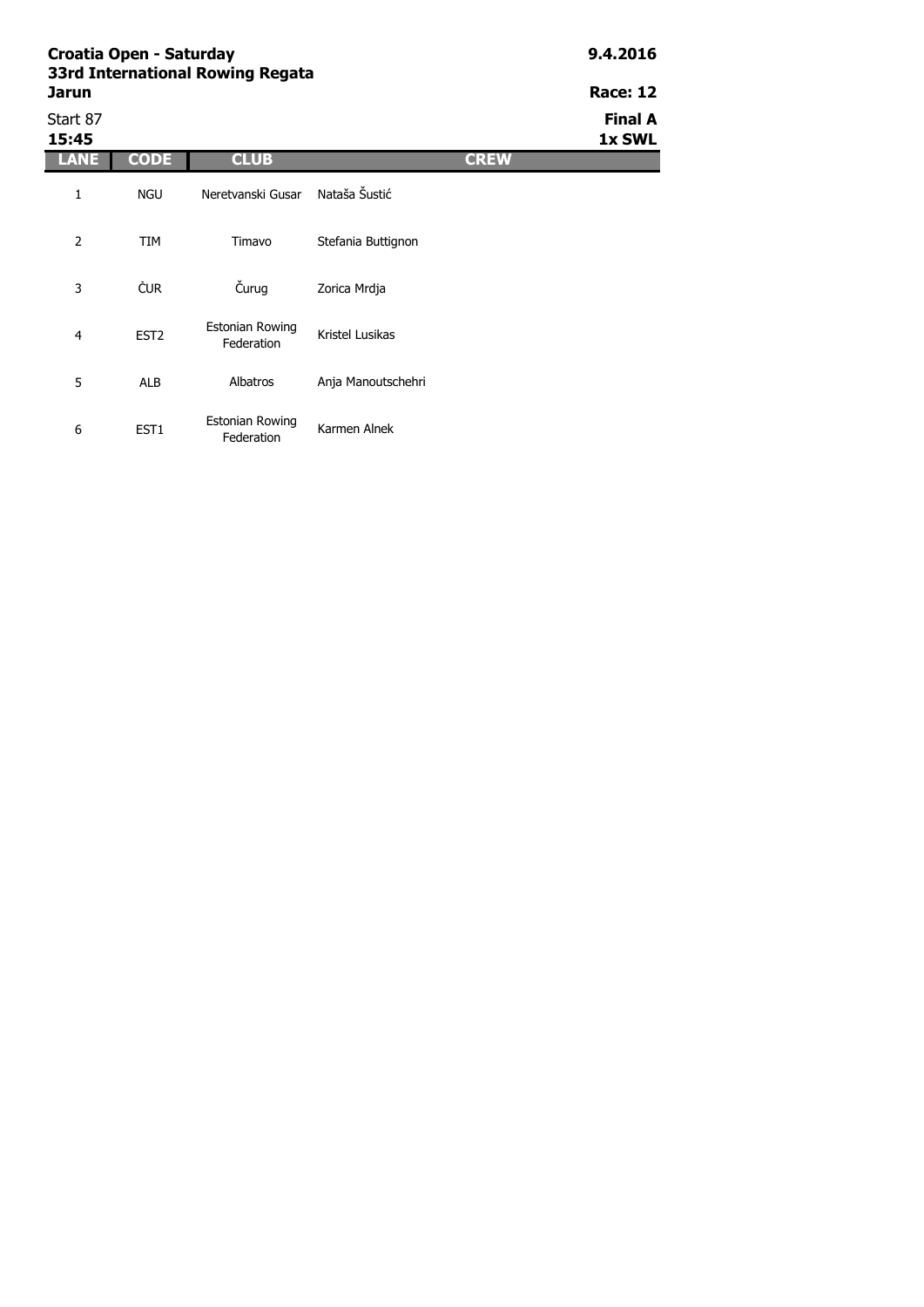| Croatia Open - Saturday<br>33rd International Rowing Regata |                  |                               |                    |             | 9.4.2016                 |
|-------------------------------------------------------------|------------------|-------------------------------|--------------------|-------------|--------------------------|
| Jarun                                                       |                  |                               |                    |             | <b>Race: 12</b>          |
| Start 87<br>15:45                                           |                  |                               |                    |             | <b>Final A</b><br>1x SWL |
| <b>LANE</b>                                                 | <b>CODE</b>      | <b>CLUB</b>                   |                    | <b>CREW</b> |                          |
| $\mathbf{1}$                                                | <b>NGU</b>       | Neretvanski Gusar             | Nataša Šustić      |             |                          |
| $\overline{2}$                                              | <b>TIM</b>       | Timavo                        | Stefania Buttignon |             |                          |
| 3                                                           | ČUR              | Čurug                         | Zorica Mrdja       |             |                          |
| $\overline{4}$                                              | EST <sub>2</sub> | Estonian Rowing<br>Federation | Kristel Lusikas    |             |                          |
| 5                                                           | <b>ALB</b>       | Albatros                      | Anja Manoutschehri |             |                          |

Karmen Alnek

6 EST1

Estonian Rowing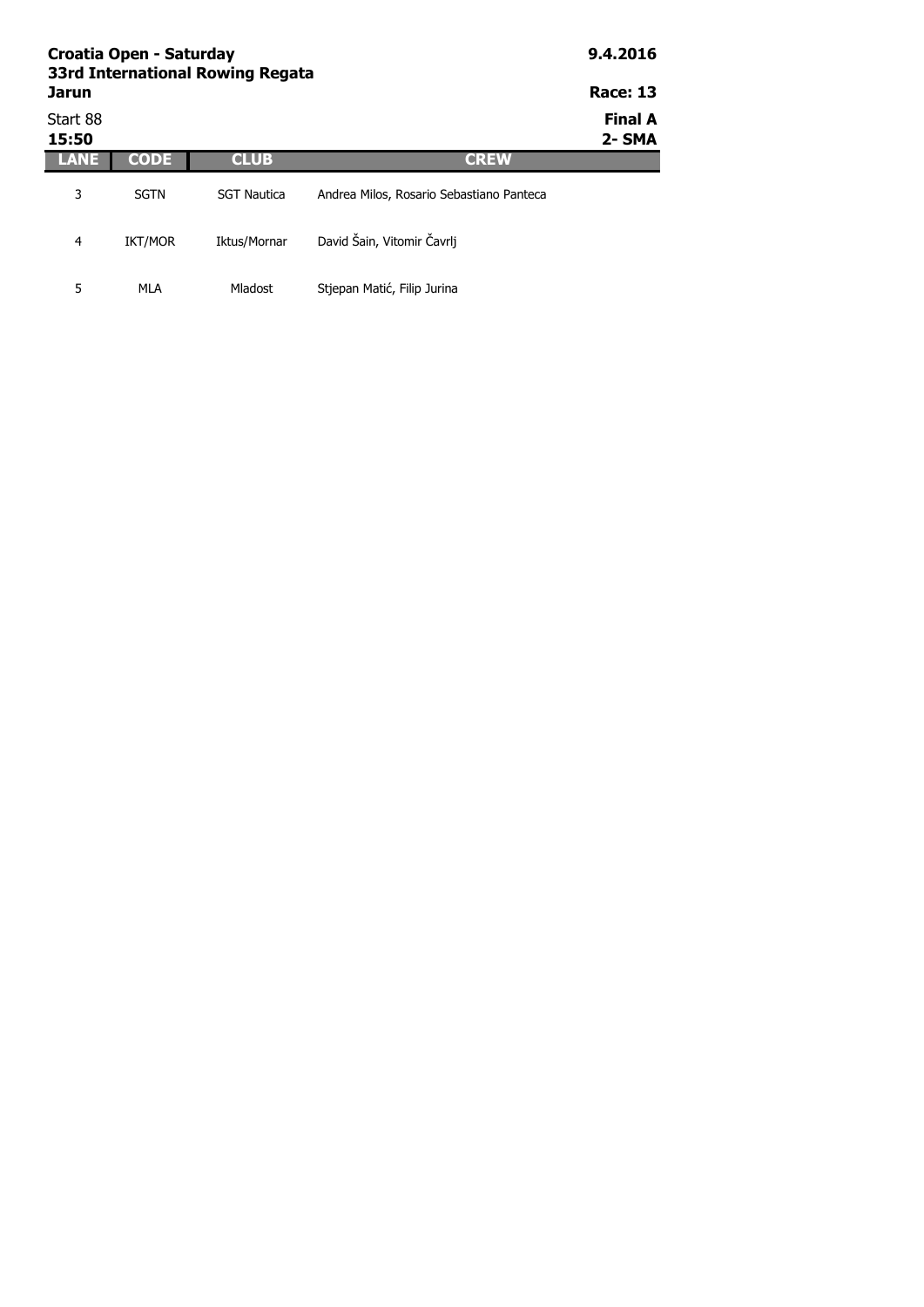| <b>Jarun</b>      | Croatia Open - Saturday<br>33rd International Rowing Regata |                    | 9.4.2016<br><b>Race: 13</b>              |                          |
|-------------------|-------------------------------------------------------------|--------------------|------------------------------------------|--------------------------|
| Start 88<br>15:50 |                                                             |                    |                                          | <b>Final A</b><br>2- SMA |
| LANE              | <b>CODE</b>                                                 | <b>CLUB</b>        | <b>CREW</b>                              |                          |
| 3                 | <b>SGTN</b>                                                 | <b>SGT Nautica</b> | Andrea Milos, Rosario Sebastiano Panteca |                          |
| 4                 | <b>IKT/MOR</b>                                              | Iktus/Mornar       | David Šain, Vitomir Čavrlj               |                          |

Mladost Stjepan Matić, Filip Jurina

5 MLA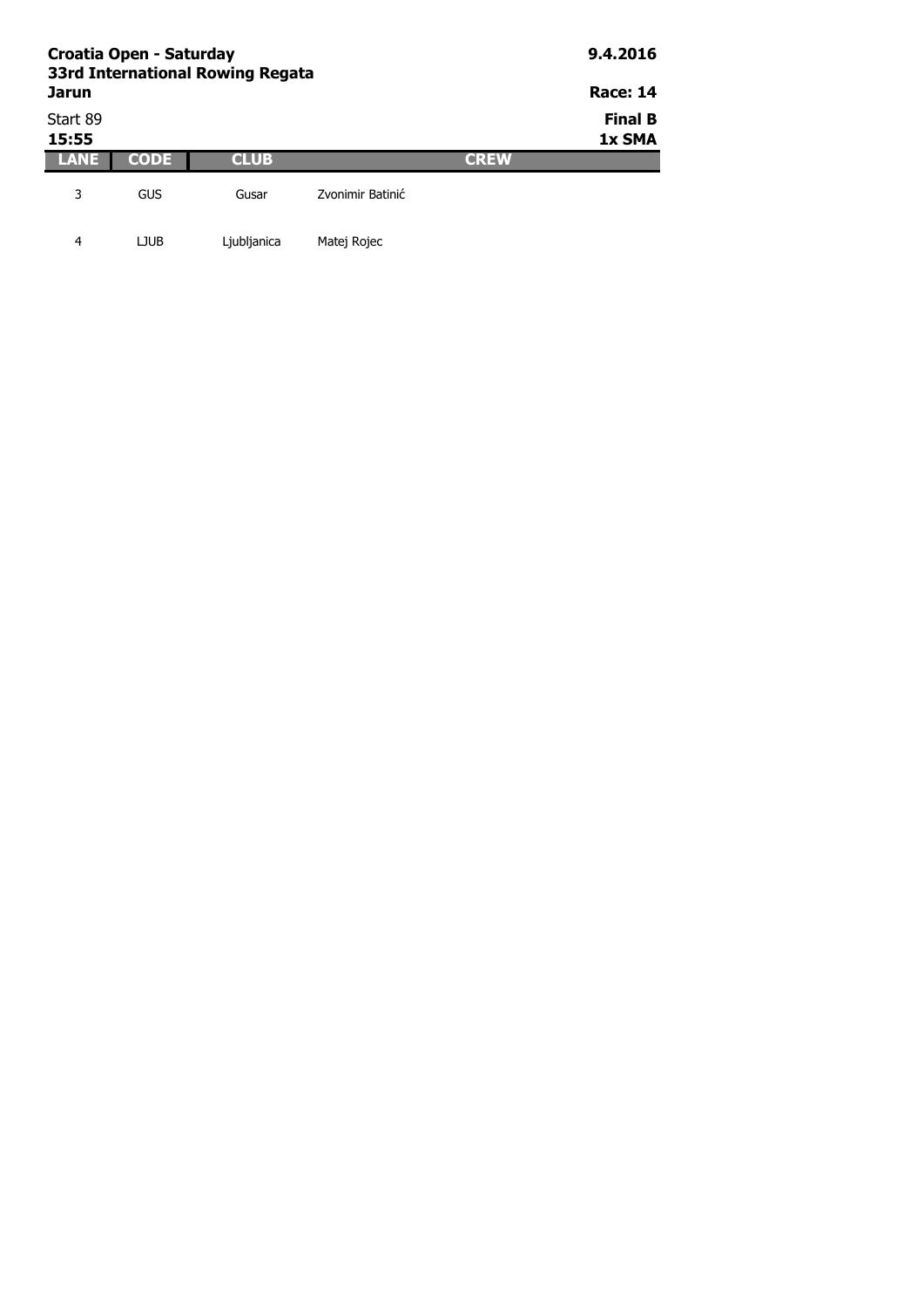| Croatia Open - Saturday<br>33rd International Rowing Regata<br><b>Jarun</b> | 9.4.2016<br><b>Race: 14</b> |             |                  |             |                          |
|-----------------------------------------------------------------------------|-----------------------------|-------------|------------------|-------------|--------------------------|
| Start 89<br>15:55                                                           |                             |             |                  |             | <b>Final B</b><br>1x SMA |
| LANE                                                                        | CODE                        | <b>CLUB</b> |                  | <b>GREW</b> |                          |
| 3                                                                           | GUS                         | Gusar       | Zvonimir Batinić |             |                          |

4 LJUB Ljubljanica Matej Rojec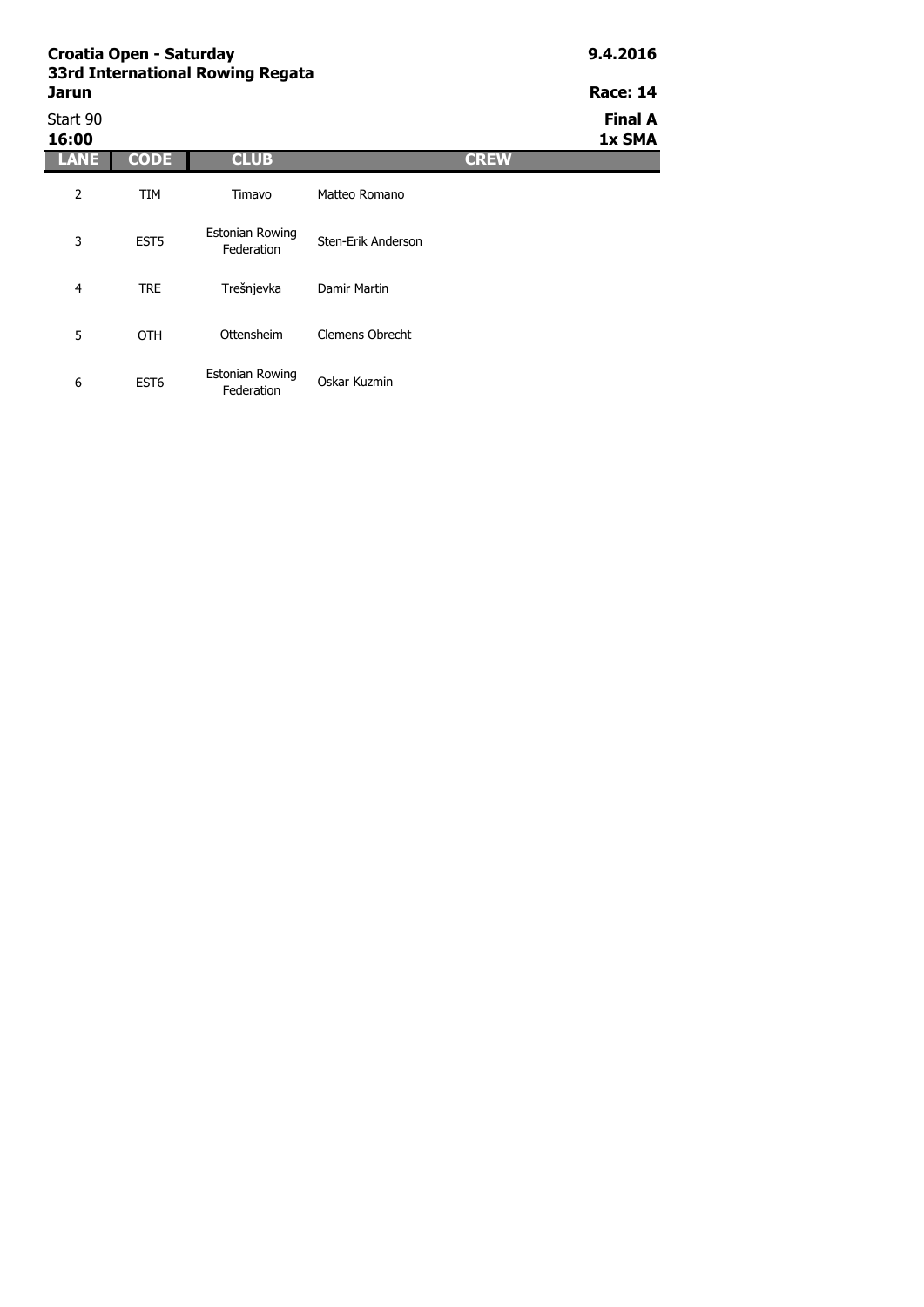| Croatia Open - Saturday<br>33rd International Rowing Regata |                  |                                      |                    |             | 9.4.2016                 |  |
|-------------------------------------------------------------|------------------|--------------------------------------|--------------------|-------------|--------------------------|--|
| Jarun                                                       |                  |                                      |                    |             |                          |  |
| Start 90<br>16:00                                           |                  |                                      |                    |             | <b>Final A</b><br>1x SMA |  |
| <b>LANE</b>                                                 | CODE             | <b>CLUB</b>                          |                    | <b>CREW</b> |                          |  |
| $\overline{2}$                                              | <b>TIM</b>       | Timavo                               | Matteo Romano      |             |                          |  |
| 3                                                           | EST <sub>5</sub> | Estonian Rowing<br>Federation        | Sten-Erik Anderson |             |                          |  |
| 4                                                           | <b>TRE</b>       | Trešnjevka                           | Damir Martin       |             |                          |  |
| 5                                                           | <b>OTH</b>       | Ottensheim                           | Clemens Obrecht    |             |                          |  |
| 6                                                           | EST <sub>6</sub> | <b>Estonian Rowing</b><br>Federation | Oskar Kuzmin       |             |                          |  |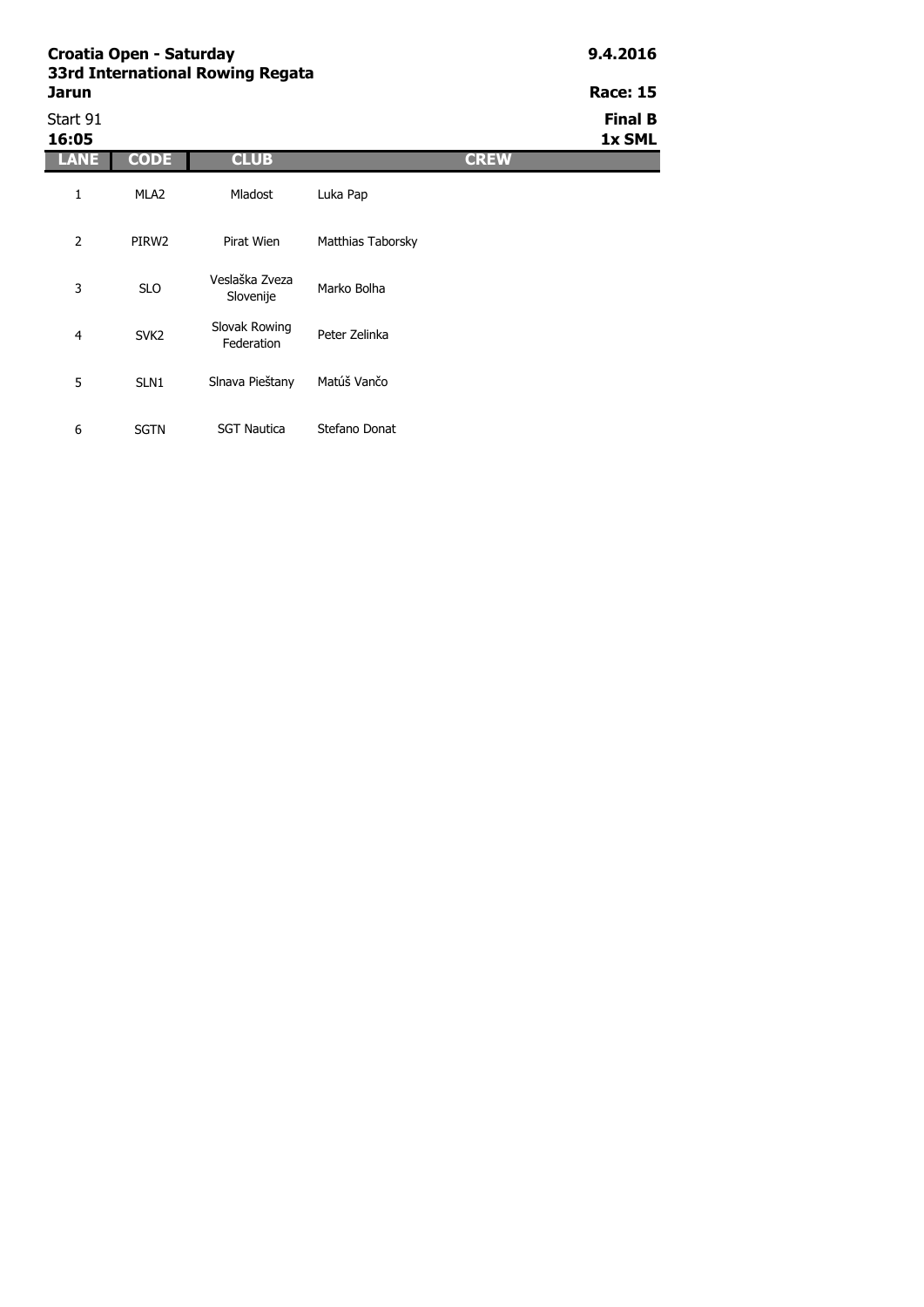| Croatia Open - Saturday<br>33rd International Rowing Regata | 9.4.2016         |                             |                   |             |                          |
|-------------------------------------------------------------|------------------|-----------------------------|-------------------|-------------|--------------------------|
| Jarun                                                       |                  |                             |                   |             | <b>Race: 15</b>          |
| Start 91<br>16:05                                           |                  |                             |                   |             | <b>Final B</b><br>1x SML |
| <b>LANE</b>                                                 | <b>CODE</b>      | <b>CLUB</b>                 |                   | <b>CREW</b> |                          |
| $\mathbf{1}$                                                | MLA <sub>2</sub> | Mladost                     | Luka Pap          |             |                          |
| $\overline{2}$                                              | PIRW2            | Pirat Wien                  | Matthias Taborsky |             |                          |
| 3                                                           | <b>SLO</b>       | Veslaška Zveza<br>Slovenije | Marko Bolha       |             |                          |
| 4                                                           | SVK <sub>2</sub> | Slovak Rowing<br>Federation | Peter Zelinka     |             |                          |
| 5                                                           | SLN <sub>1</sub> | Slnava Pieštany             | Matúš Vančo       |             |                          |
| 6                                                           | <b>SGTN</b>      | <b>SGT Nautica</b>          | Stefano Donat     |             |                          |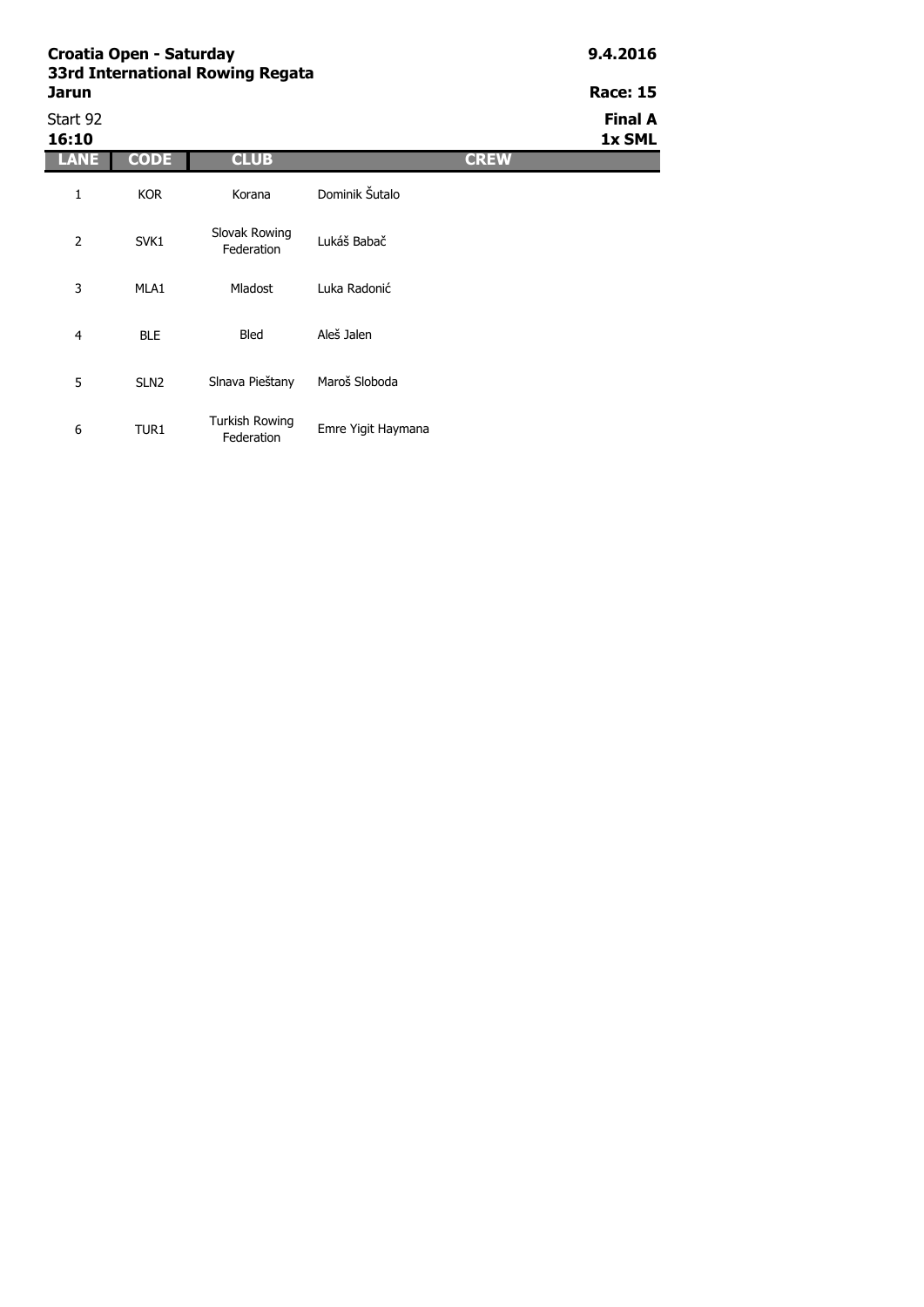| Croatia Open - Saturday<br>33rd International Rowing Regata | 9.4.2016    |                             |                |             |                          |
|-------------------------------------------------------------|-------------|-----------------------------|----------------|-------------|--------------------------|
| <b>Jarun</b>                                                |             | <b>Race: 15</b>             |                |             |                          |
| Start 92<br>16:10                                           |             |                             |                |             | <b>Final A</b><br>1x SML |
| LANE                                                        | <b>CODE</b> | <b>CLUB</b>                 |                | <b>CREW</b> |                          |
| 1                                                           | <b>KOR</b>  | Korana                      | Dominik Šutalo |             |                          |
| $\overline{2}$                                              | SVK1        | Slovak Rowing<br>Federation | Lukáš Babač    |             |                          |
| 3                                                           | MLA1        | <b>Mladost</b>              | Luka Radonić   |             |                          |
| 4                                                           | <b>BLE</b>  | <b>Bled</b>                 | Aleš Jalen     |             |                          |

6 TUR1 Turkish Rowing Emre Yigit Haymana

Slnava Pieštany Maroš Sloboda

5 SLN2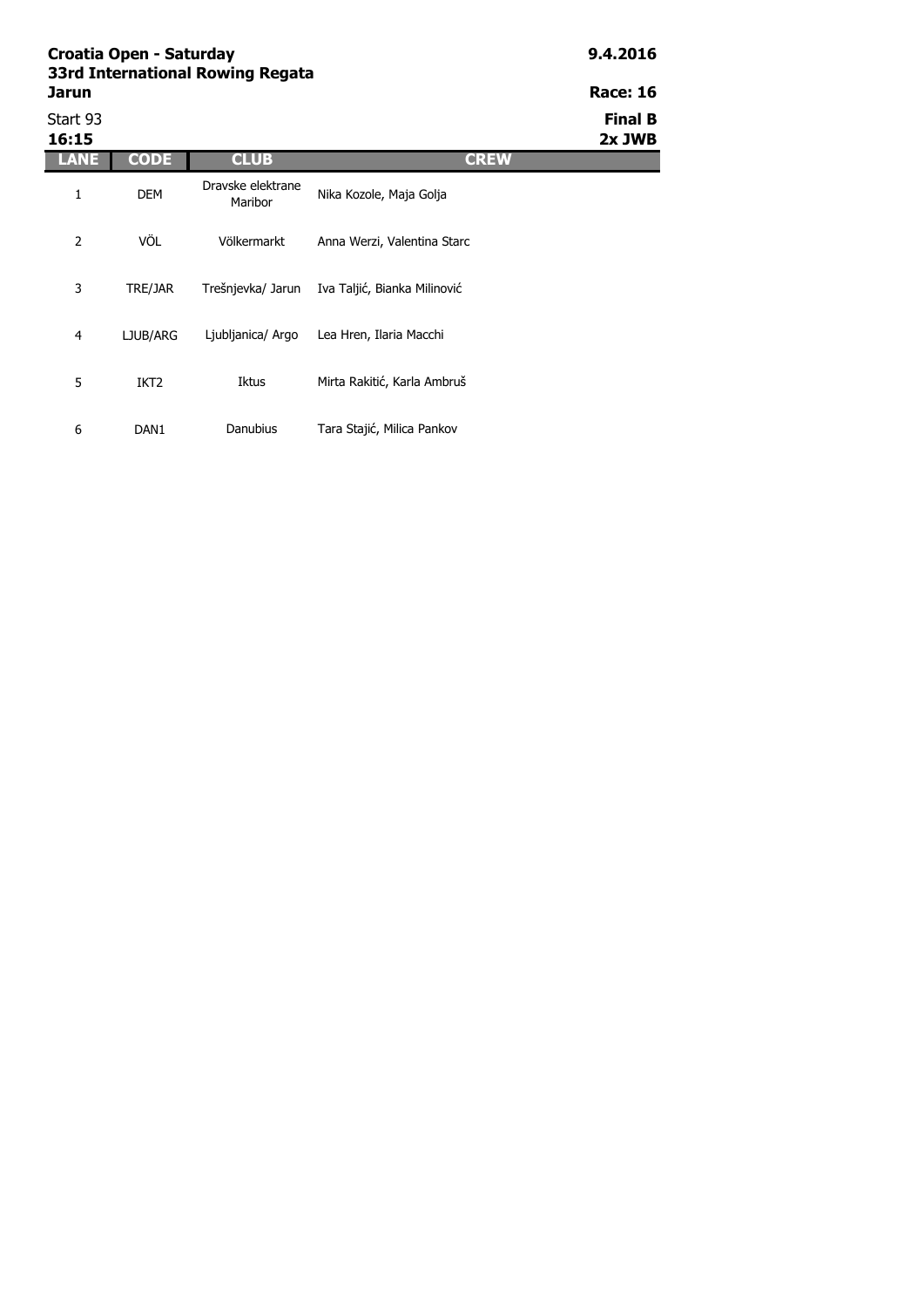**Race: 16** 

| Start 93<br>16:15 |                  |                              |                              | <b>Final B</b><br>2x JWB |
|-------------------|------------------|------------------------------|------------------------------|--------------------------|
| LANE              | <b>CODE</b>      | <b>CLUB</b>                  | <b>CREW</b>                  |                          |
| 1                 | <b>DEM</b>       | Dravske elektrane<br>Maribor | Nika Kozole, Maja Golja      |                          |
| 2                 | VÖL              | Völkermarkt                  | Anna Werzi, Valentina Starc  |                          |
| 3                 | TRE/JAR          | Trešnjevka/ Jarun            | Iva Taljić, Bianka Milinović |                          |
| 4                 | LJUB/ARG         | Ljubljanica/ Argo            | Lea Hren, Ilaria Macchi      |                          |
| 5                 | IKT <sub>2</sub> | Iktus                        | Mirta Rakitić, Karla Ambruš  |                          |
| 6                 | DAN <sub>1</sub> | Danubius                     | Tara Stajić, Milica Pankov   |                          |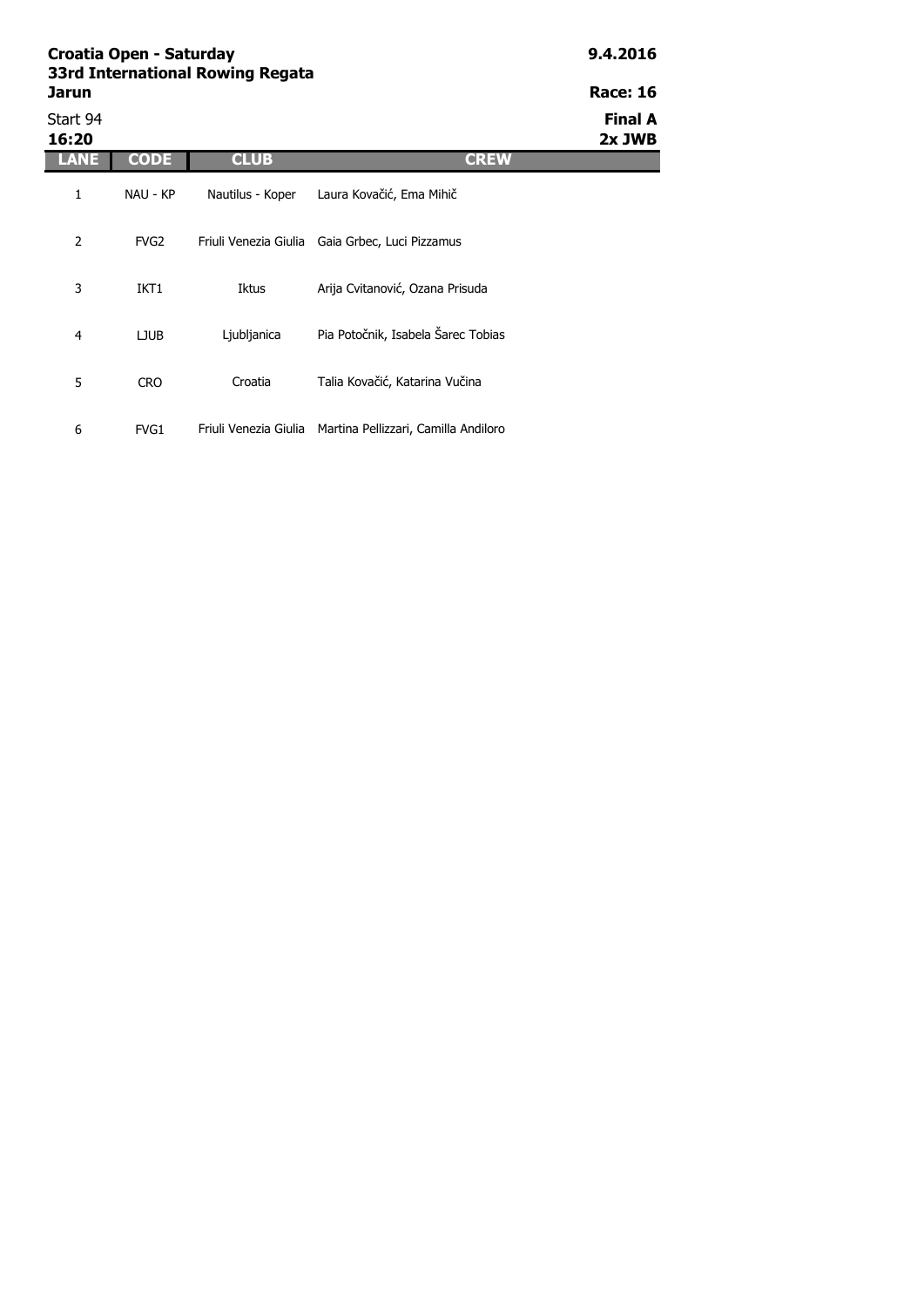| Croatia Open - Saturday<br>33rd International Rowing Regata | 9.4.2016         |                  |                                                 |                          |
|-------------------------------------------------------------|------------------|------------------|-------------------------------------------------|--------------------------|
| <b>Jarun</b>                                                |                  |                  |                                                 | <b>Race: 16</b>          |
| Start 94<br>16:20                                           |                  |                  |                                                 | <b>Final A</b><br>2x JWB |
|                                                             | <b>CODE</b>      | <b>CLUB</b>      | <b>CREW</b>                                     |                          |
| 1                                                           | NAU - KP         | Nautilus - Koper | Laura Kovačić, Ema Mihič                        |                          |
| 2                                                           | FVG <sub>2</sub> |                  | Friuli Venezia Giulia Gaia Grbec, Luci Pizzamus |                          |
| 3                                                           | IKT <sub>1</sub> | Iktus            | Arija Cvitanović, Ozana Prisuda                 |                          |
| 4                                                           | LJUB             | Ljubljanica      | Pia Potočnik, Isabela Šarec Tobias              |                          |

Croatia Talia Kovačić, Katarina Vučina

6 FVG1 Friuli Venezia Giulia Martina Pellizzari, Camilla Andiloro

5 CRO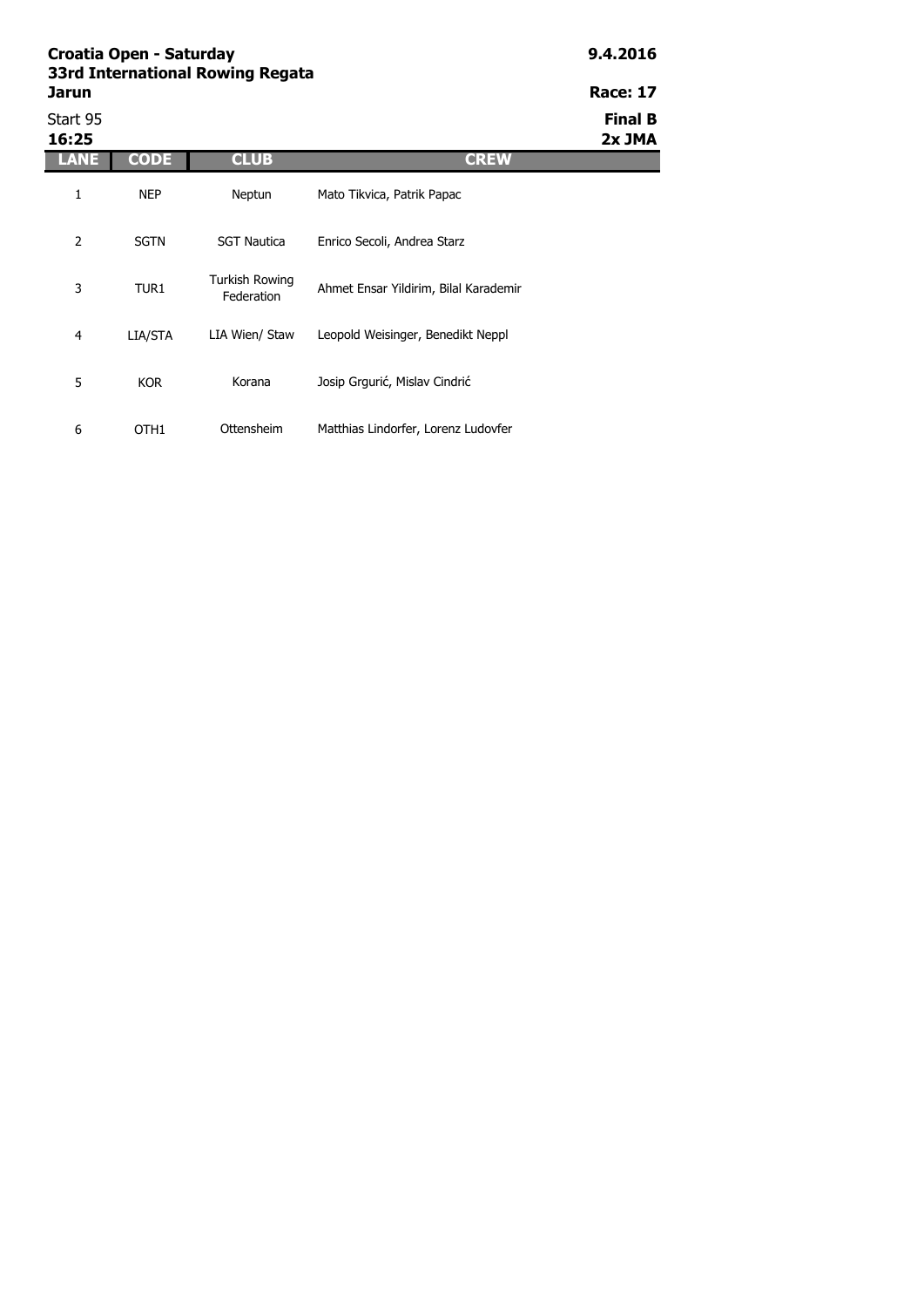| Croatia Open - Saturday<br>33rd International Rowing Regata | 9.4.2016    |                              |                                       |                          |
|-------------------------------------------------------------|-------------|------------------------------|---------------------------------------|--------------------------|
| Jarun                                                       |             | <b>Race: 17</b>              |                                       |                          |
| Start 95<br>16:25                                           |             |                              |                                       | <b>Final B</b><br>2x JMA |
| LANE                                                        | <b>CODE</b> | <b>CLUB</b>                  | <b>CREW</b>                           |                          |
| 1                                                           | <b>NEP</b>  | Neptun                       | Mato Tikvica, Patrik Papac            |                          |
| 2                                                           | <b>SGTN</b> | <b>SGT Nautica</b>           | Enrico Secoli, Andrea Starz           |                          |
| 3                                                           | TUR1        | Turkish Rowing<br>Federation | Ahmet Ensar Yildirim, Bilal Karademir |                          |
| 4                                                           | LIA/STA     | LIA Wien/ Staw               | Leopold Weisinger, Benedikt Neppl     |                          |
| 5                                                           | <b>KOR</b>  | Korana                       | Josip Grgurić, Mislav Cindrić         |                          |

Ottensheim Matthias Lindorfer, Lorenz Ludovfer

6 OTH1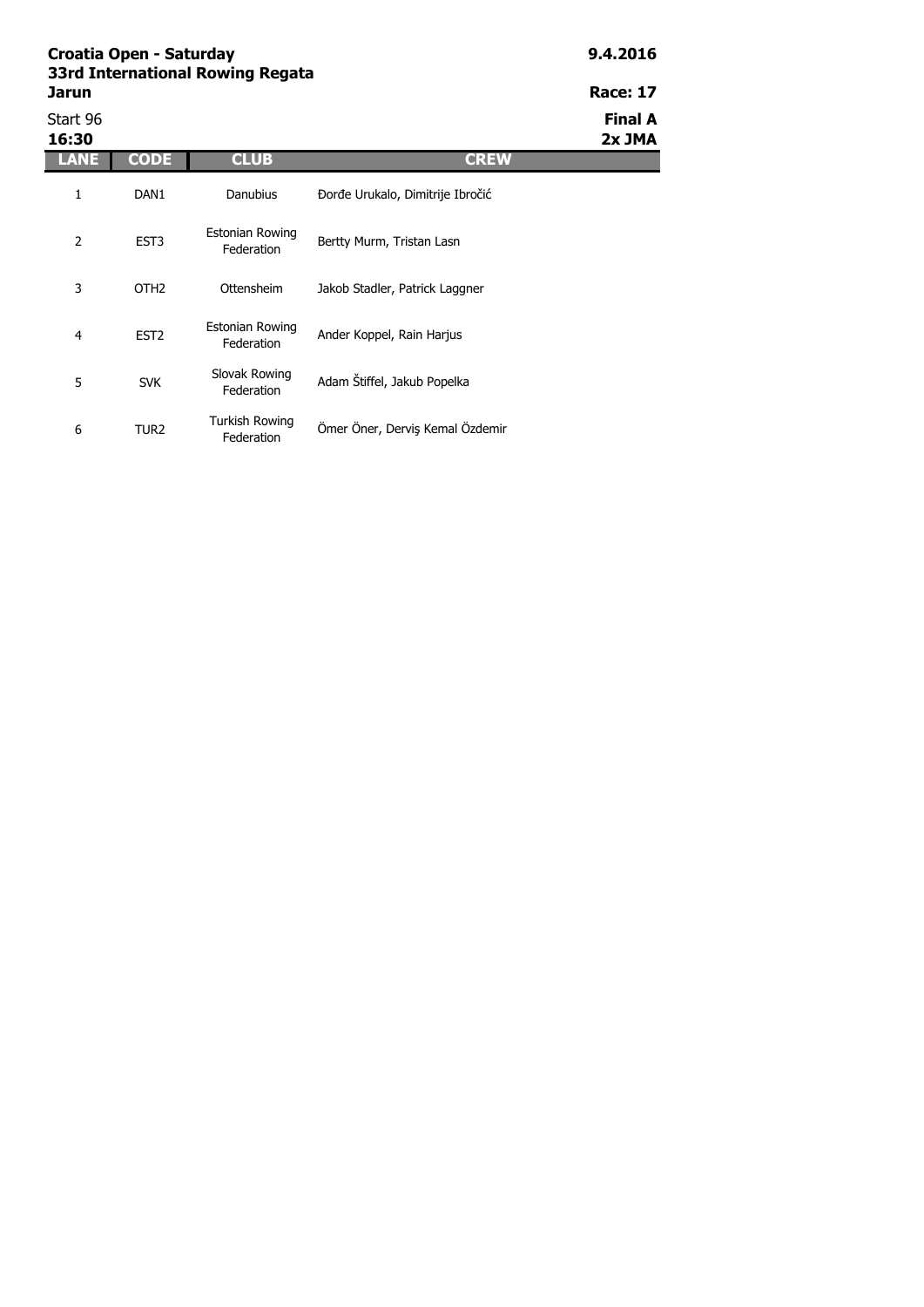| Jarun             |                  |                                      |                                  | <b>Race: 17</b>          |
|-------------------|------------------|--------------------------------------|----------------------------------|--------------------------|
| Start 96<br>16:30 |                  |                                      |                                  | <b>Final A</b><br>2x JMA |
| LANE              | <b>CODE</b>      | <b>CLUB</b>                          | <b>CREW</b>                      |                          |
| 1                 | DAN <sub>1</sub> | <b>Danubius</b>                      | Đorđe Urukalo, Dimitrije Ibročić |                          |
| $\overline{2}$    | EST <sub>3</sub> | Estonian Rowing<br>Federation        | Bertty Murm, Tristan Lasn        |                          |
| 3                 | OTH <sub>2</sub> | Ottensheim                           | Jakob Stadler, Patrick Laggner   |                          |
| 4                 | EST <sub>2</sub> | <b>Estonian Rowing</b><br>Federation | Ander Koppel, Rain Harjus        |                          |
| 5                 | <b>SVK</b>       | Slovak Rowing<br>Federation          | Adam Štiffel, Jakub Popelka      |                          |
| 6                 | TUR <sub>2</sub> | Turkish Rowing<br>Federation         | Ömer Öner, Derviş Kemal Özdemir  |                          |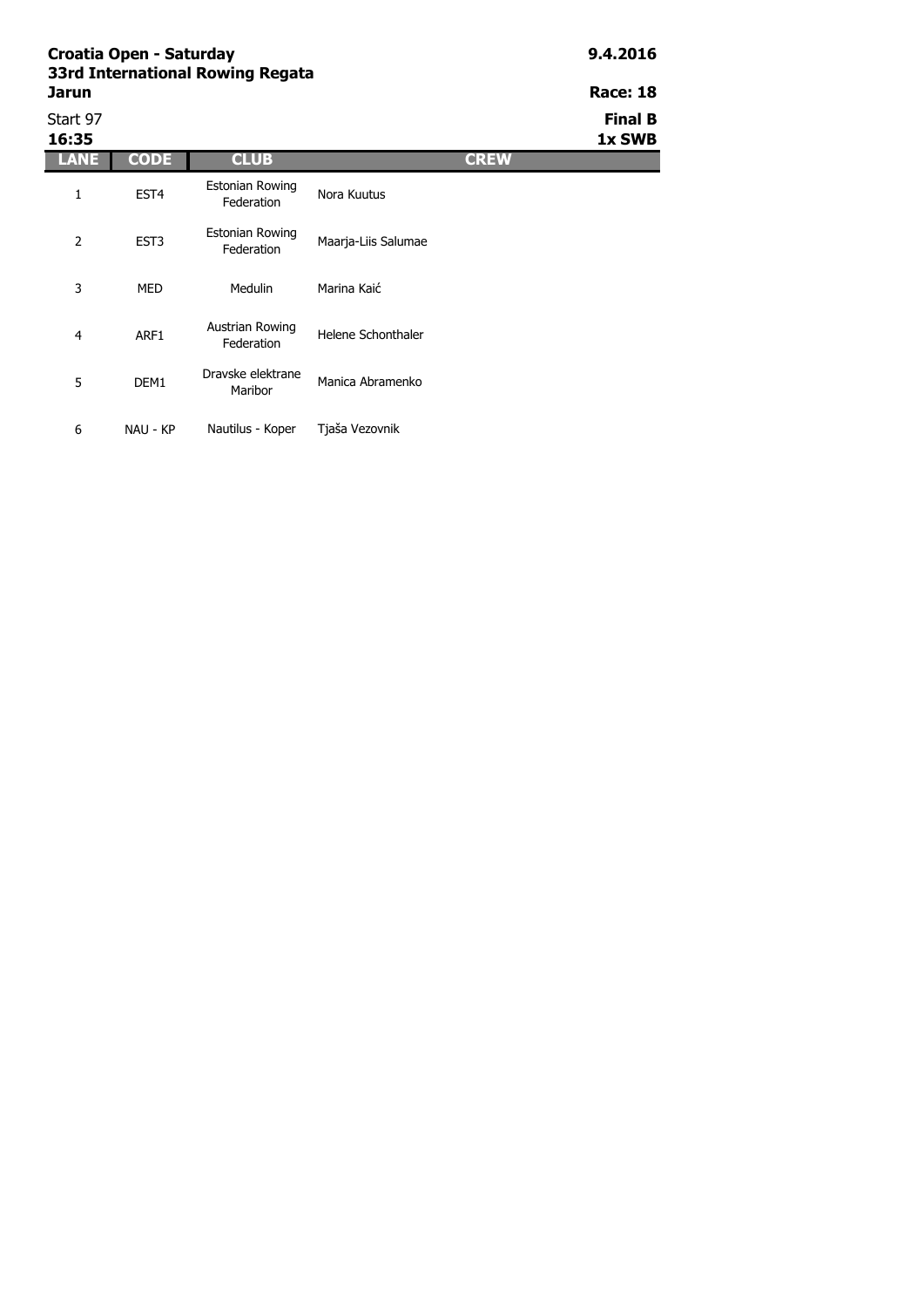6 NAU - KP

| lаı<br>۱<br>н |  |
|---------------|--|
|               |  |

Start 97 **Final B 16:35 1x SWB LANE CODE CLUB CREW** 1 EST4 2 EST3 3 MED 4 ARF1 5 DEM1 Austrian Rowing strian Rowing<br>Federation Helene Schonthaler Dravske elektrane Manica Abramenko Estonian Rowing tonian Rowing<br>Federation Mora Kuutus Estonian Rowing Maarja-Liis Salumae Medulin Marina Kaić

Nautilus - Koper Tjaša Vezovnik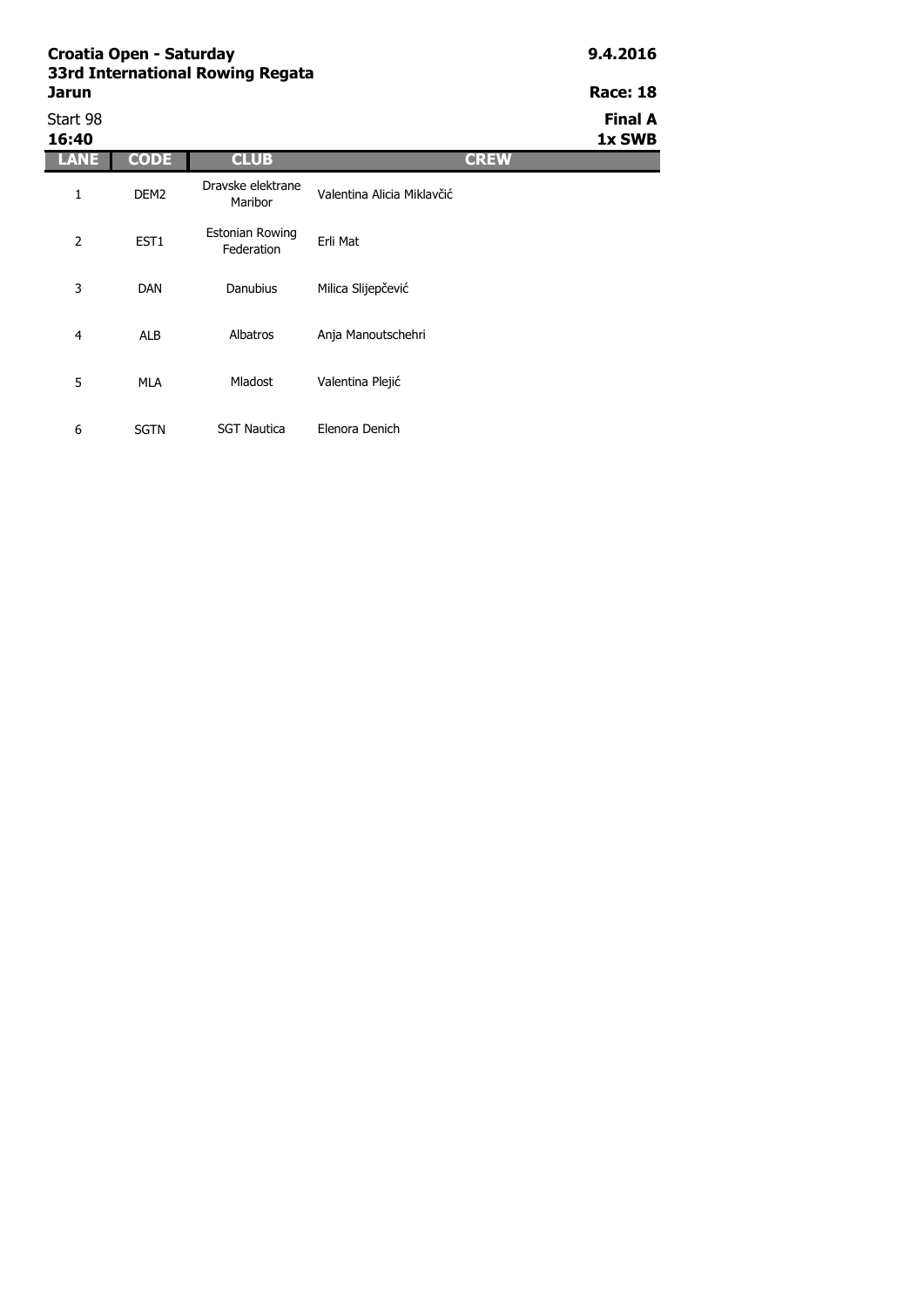6 SGTN SGT Nautica

| Jarun             |                  | <b>331 YELGE HALIOHAL ROWHIY REGALA</b> |                            |             | <b>Race: 18</b>          |
|-------------------|------------------|-----------------------------------------|----------------------------|-------------|--------------------------|
| Start 98<br>16:40 |                  |                                         |                            |             | <b>Final A</b><br>1x SWB |
| LANE              | CODE.            | <b>CLUB</b>                             |                            | <b>CREW</b> |                          |
|                   | DEM <sub>2</sub> | Dravske elektrane<br>Maribor            | Valentina Alicia Miklavčić |             |                          |

Elenora Denich

| 2 | EST <sub>1</sub> | Estonian Rowing<br>Federation | Erli Mat           |
|---|------------------|-------------------------------|--------------------|
| 3 | <b>DAN</b>       | Danubius                      | Milica Slijepčević |
| 4 | ALB              | Albatros                      | Anja Manoutschehri |
| 5 | MLA              | <b>Mladost</b>                | Valentina Plejić   |
|   |                  |                               |                    |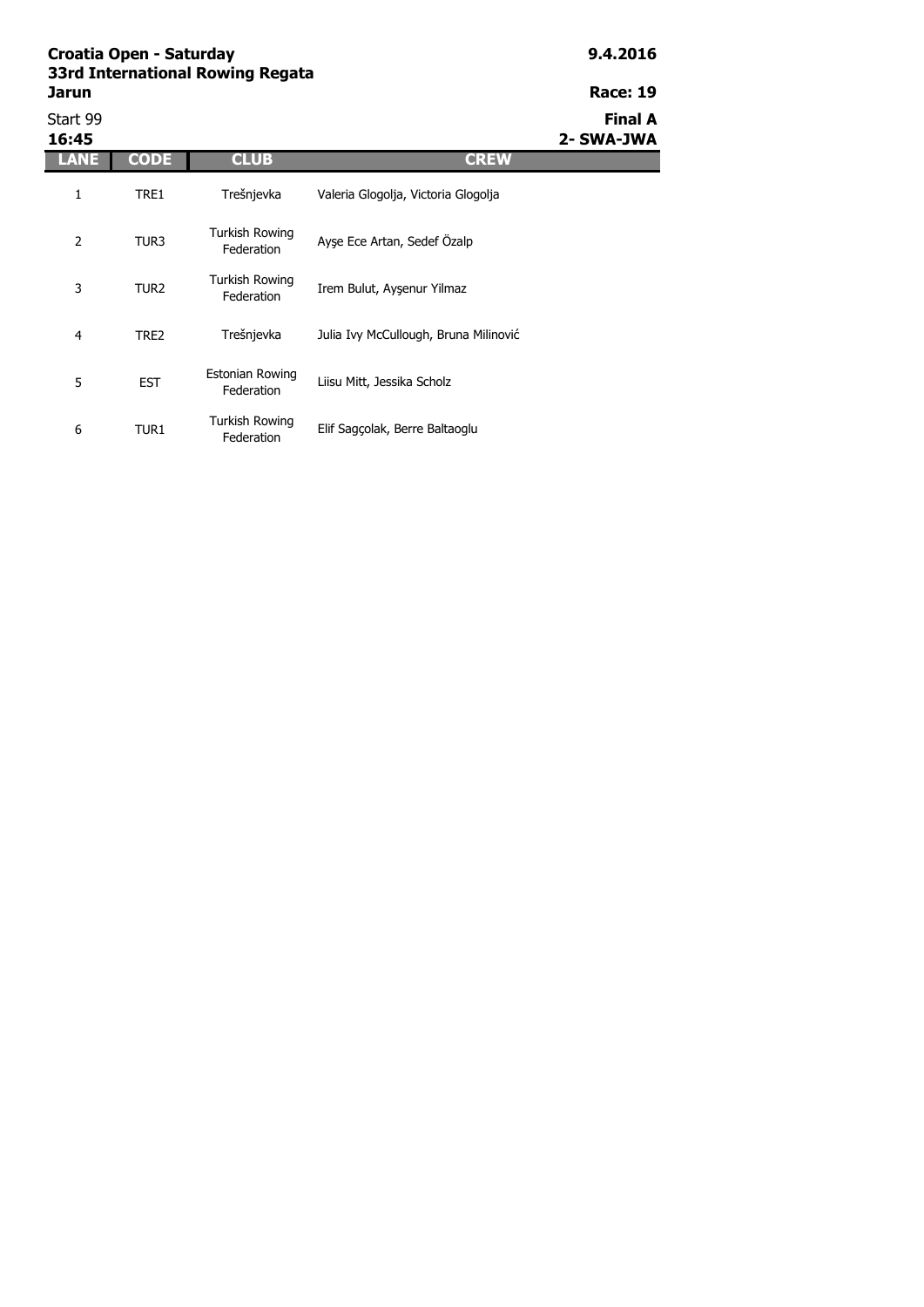## **Croatia Open - Saturday 9.4.2016 33rd International Rowing Regata Jarun Race: 19**

|  | гaг | Т | ı |
|--|-----|---|---|
|  |     |   |   |

6 TUR1

Turkish Rowing

Start 99 **Final A 16:45 2- SWA-JWA LANE CODE CLUB CREW** 1 TRE1 2 TUR3 3 TUR2 4 TRE2 5 EST Trešnjevka Julia Ivy McCullough, Bruna Milinović Estonian Rowing Liisu Mitt, Jessika Scholz Trešnjevka Valeria Glogolja, Victoria Glogolja Turkish Rowing Ayşe Ece Artan, Sedef Özalp Turkish Rowing Irkish Rowing<br>Federation Irem Bulut, Ayşenur Yilmaz

Elif Sagçolak, Berre Baltaoglu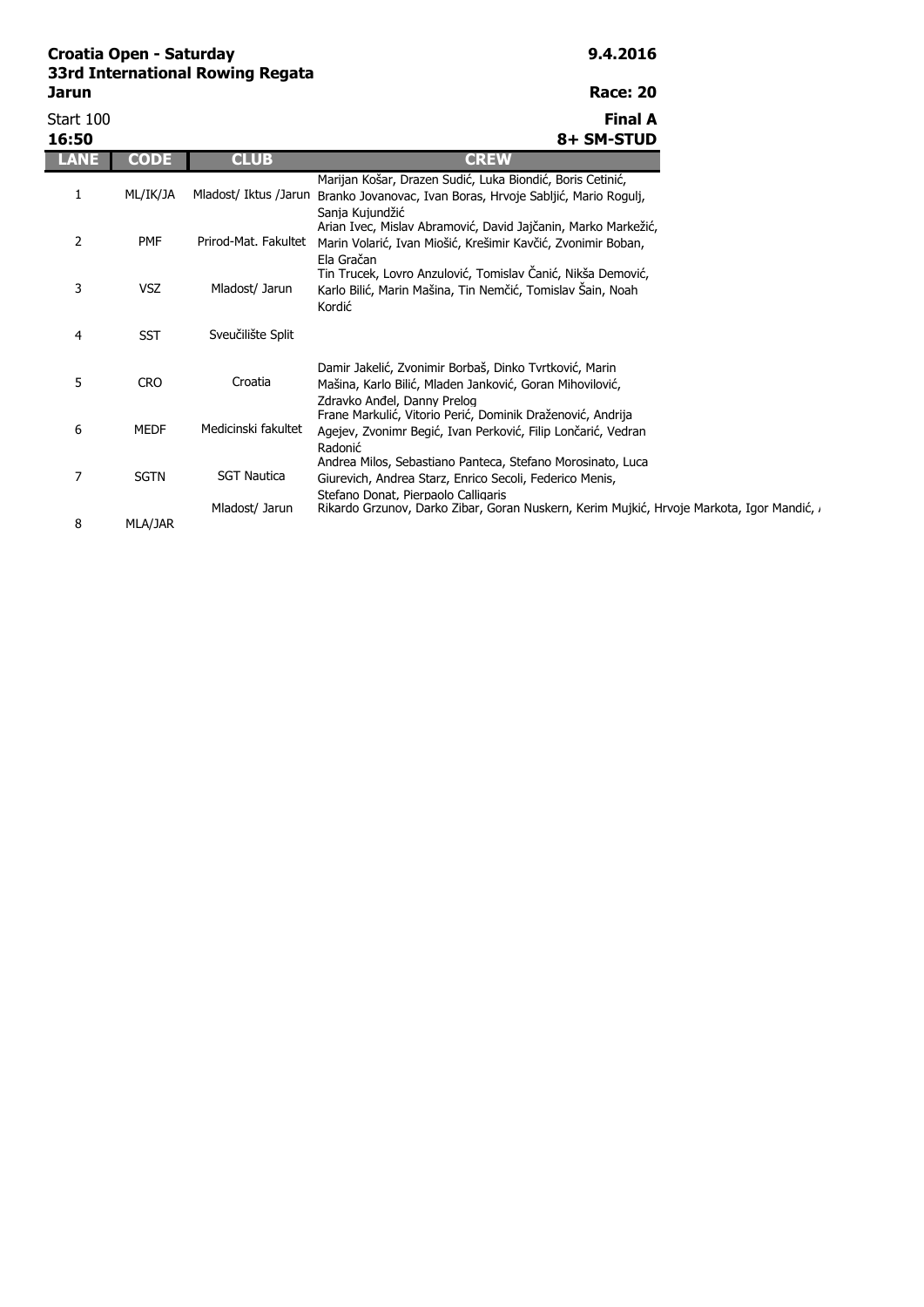## **Croatia Open - Saturday 9.4.2016 33rd International Rowing Regata Jarun Race: 20**

| ۰, | .,<br>. .<br>×<br>۰. | × | × |
|----|----------------------|---|---|
|    |                      |   |   |

| Start 100      |             |                       | <b>Final A</b>                                                                                                                                               |
|----------------|-------------|-----------------------|--------------------------------------------------------------------------------------------------------------------------------------------------------------|
| 16:50          |             |                       | 8+ SM-STUD                                                                                                                                                   |
|                | CODE        | <b>CLUB</b>           | <b>CREW</b>                                                                                                                                                  |
| 1              | ML/IK/JA    | Mladost/ Iktus /Jarun | Marijan Košar, Drazen Sudić, Luka Biondić, Boris Cetinić,<br>Branko Jovanovac, Ivan Boras, Hrvoje Sabljić, Mario Rogulj,<br>Sanja Kujundžić                  |
| $\overline{2}$ | <b>PMF</b>  | Prirod-Mat. Fakultet  | Arian Ivec, Mislav Abramović, David Jajčanin, Marko Markežić,<br>Marin Volarić, Ivan Miošić, Krešimir Kavčić, Zvonimir Boban,<br>Ela Gračan                  |
| 3              | <b>VSZ</b>  | Mladost/ Jarun        | Tin Trucek, Lovro Anzulović, Tomislav Čanić, Nikša Demović,<br>Karlo Bilić, Marin Mašina, Tin Nemčić, Tomislav Šain, Noah<br>Kordić                          |
| 4              | <b>SST</b>  | Sveučilište Split     |                                                                                                                                                              |
| 5              | <b>CRO</b>  | Croatia               | Damir Jakelić, Zvonimir Borbaš, Dinko Tvrtković, Marin<br>Mašina, Karlo Bilić, Mladen Janković, Goran Mihovilović,<br>Zdravko Anđel, Danny Prelog            |
| 6              | <b>MEDF</b> | Medicinski fakultet   | Frane Markulić, Vitorio Perić, Dominik Draženović, Andrija<br>Agejev, Zvonimr Begić, Ivan Perković, Filip Lončarić, Vedran<br>Radonić                        |
| $\overline{7}$ | <b>SGTN</b> | <b>SGT Nautica</b>    | Andrea Milos, Sebastiano Panteca, Stefano Morosinato, Luca<br>Giurevich, Andrea Starz, Enrico Secoli, Federico Menis,<br>Stefano Donat, Pierpaolo Calligaris |
| 8              | MLA/JAR     | Mladost/ Jarun        | Rikardo Grzunov, Darko Zibar, Goran Nuskern, Kerim Mujkić, Hrvoje Markota, Igor Mandić, a                                                                    |